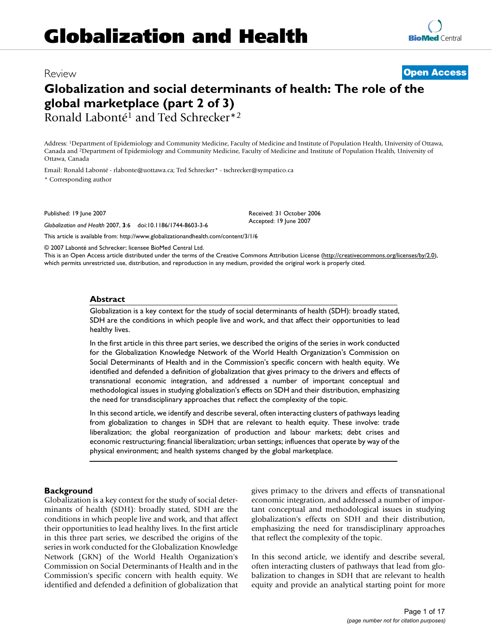## Review **[Open Access](http://www.biomedcentral.com/info/about/charter/)**

# **Globalization and social determinants of health: The role of the global marketplace (part 2 of 3)** Ronald Labonté1 and Ted Schrecker\*2

Address: 1Department of Epidemiology and Community Medicine, Faculty of Medicine and Institute of Population Health, University of Ottawa, Canada and 2Department of Epidemiology and Community Medicine, Faculty of Medicine and Institute of Population Health, University of Ottawa, Canada

> Received: 31 October 2006 Accepted: 19 June 2007

Email: Ronald Labonté - rlabonte@uottawa.ca; Ted Schrecker\* - tschrecker@sympatico.ca

\* Corresponding author

Published: 19 June 2007

*Globalization and Health* 2007, **3**:6 doi:10.1186/1744-8603-3-6

[This article is available from: http://www.globalizationandhealth.com/content/3/1/6](http://www.globalizationandhealth.com/content/3/1/6)

© 2007 Labonté and Schrecker; licensee BioMed Central Ltd.

This is an Open Access article distributed under the terms of the Creative Commons Attribution License [\(http://creativecommons.org/licenses/by/2.0\)](http://creativecommons.org/licenses/by/2.0), which permits unrestricted use, distribution, and reproduction in any medium, provided the original work is properly cited.

#### **Abstract**

Globalization is a key context for the study of social determinants of health (SDH): broadly stated, SDH are the conditions in which people live and work, and that affect their opportunities to lead healthy lives.

In the first article in this three part series, we described the origins of the series in work conducted for the Globalization Knowledge Network of the World Health Organization's Commission on Social Determinants of Health and in the Commission's specific concern with health equity. We identified and defended a definition of globalization that gives primacy to the drivers and effects of transnational economic integration, and addressed a number of important conceptual and methodological issues in studying globalization's effects on SDH and their distribution, emphasizing the need for transdisciplinary approaches that reflect the complexity of the topic.

In this second article, we identify and describe several, often interacting clusters of pathways leading from globalization to changes in SDH that are relevant to health equity. These involve: trade liberalization; the global reorganization of production and labour markets; debt crises and economic restructuring; financial liberalization; urban settings; influences that operate by way of the physical environment; and health systems changed by the global marketplace.

#### **Background**

Globalization is a key context for the study of social determinants of health (SDH): broadly stated, SDH are the conditions in which people live and work, and that affect their opportunities to lead healthy lives. In the first article in this three part series, we described the origins of the series in work conducted for the Globalization Knowledge Network (GKN) of the World Health Organization's Commission on Social Determinants of Health and in the Commission's specific concern with health equity. We identified and defended a definition of globalization that gives primacy to the drivers and effects of transnational economic integration, and addressed a number of important conceptual and methodological issues in studying globalization's effects on SDH and their distribution, emphasizing the need for transdisciplinary approaches that reflect the complexity of the topic.

In this second article, we identify and describe several, often interacting clusters of pathways that lead from globalization to changes in SDH that are relevant to health equity and provide an analytical starting point for more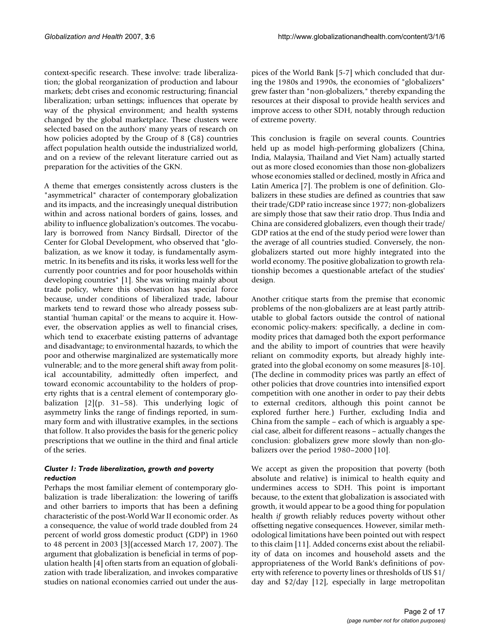context-specific research. These involve: trade liberalization; the global reorganization of production and labour markets; debt crises and economic restructuring; financial liberalization; urban settings; influences that operate by way of the physical environment; and health systems changed by the global marketplace. These clusters were selected based on the authors' many years of research on how policies adopted by the Group of 8 (G8) countries affect population health outside the industrialized world, and on a review of the relevant literature carried out as preparation for the activities of the GKN.

A theme that emerges consistently across clusters is the "asymmetrical" character of contemporary globalization and its impacts, and the increasingly unequal distribution within and across national borders of gains, losses, and ability to influence globalization's outcomes. The vocabulary is borrowed from Nancy Birdsall, Director of the Center for Global Development, who observed that "globalization, as we know it today, is fundamentally asymmetric. In its benefits and its risks, it works less well for the currently poor countries and for poor households within developing countries" [1]. She was writing mainly about trade policy, where this observation has special force because, under conditions of liberalized trade, labour markets tend to reward those who already possess substantial 'human capital' or the means to acquire it. However, the observation applies as well to financial crises, which tend to exacerbate existing patterns of advantage and disadvantage; to environmental hazards, to which the poor and otherwise marginalized are systematically more vulnerable; and to the more general shift away from political accountability, admittedly often imperfect, and toward economic accountability to the holders of property rights that is a central element of contemporary globalization [2](p. 31–58). This underlying logic of asymmetry links the range of findings reported, in summary form and with illustrative examples, in the sections that follow. It also provides the basis for the generic policy prescriptions that we outline in the third and final article of the series.

#### *Cluster 1: Trade liberalization, growth and poverty reduction*

Perhaps the most familiar element of contemporary globalization is trade liberalization: the lowering of tariffs and other barriers to imports that has been a defining characteristic of the post-World War II economic order. As a consequence, the value of world trade doubled from 24 percent of world gross domestic product (GDP) in 1960 to 48 percent in 2003 [3](accessed March 17, 2007). The argument that globalization is beneficial in terms of population health [4] often starts from an equation of globalization with trade liberalization, and invokes comparative studies on national economies carried out under the auspices of the World Bank [5-7] which concluded that during the 1980s and 1990s, the economies of "globalizers" grew faster than "non-globalizers," thereby expanding the resources at their disposal to provide health services and improve access to other SDH, notably through reduction of extreme poverty.

This conclusion is fragile on several counts. Countries held up as model high-performing globalizers (China, India, Malaysia, Thailand and Viet Nam) actually started out as more closed economies than those non-globalizers whose economies stalled or declined, mostly in Africa and Latin America [7]. The problem is one of definition. Globalizers in these studies are defined as countries that saw their trade/GDP ratio increase since 1977; non-globalizers are simply those that saw their ratio drop. Thus India and China are considered globalizers, even though their trade/ GDP ratios at the end of the study period were lower than the average of all countries studied. Conversely, the nonglobalizers started out more highly integrated into the world economy. The positive globalization to growth relationship becomes a questionable artefact of the studies' design.

Another critique starts from the premise that economic problems of the non-globalizers are at least partly attributable to global factors outside the control of national economic policy-makers: specifically, a decline in commodity prices that damaged both the export performance and the ability to import of countries that were heavily reliant on commodity exports, but already highly integrated into the global economy on some measures [8-10]. (The decline in commodity prices was partly an effect of other policies that drove countries into intensified export competition with one another in order to pay their debts to external creditors, although this point cannot be explored further here.) Further, excluding India and China from the sample – each of which is arguably a special case, albeit for different reasons – actually changes the conclusion: globalizers grew more slowly than non-globalizers over the period 1980–2000 [10].

We accept as given the proposition that poverty (both absolute and relative) is inimical to health equity and undermines access to SDH. This point is important because, to the extent that globalization is associated with growth, it would appear to be a good thing for population health *if* growth reliably reduces poverty without other offsetting negative consequences. However, similar methodological limitations have been pointed out with respect to this claim [11]. Added concerns exist about the reliability of data on incomes and household assets and the appropriateness of the World Bank's definitions of poverty with reference to poverty lines or thresholds of US \$1/ day and \$2/day [12], especially in large metropolitan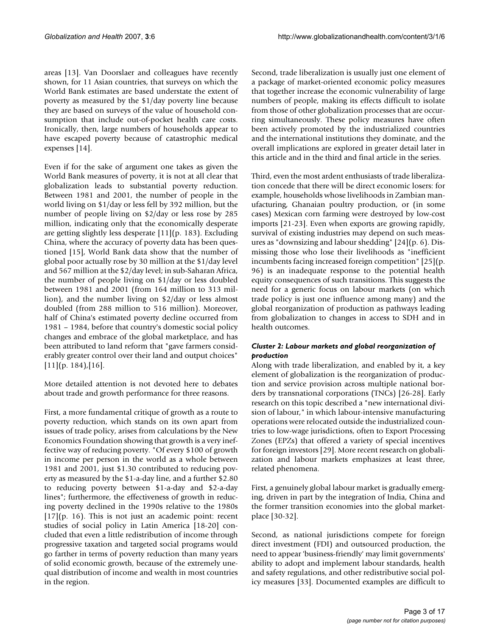areas [13]. Van Doorslaer and colleagues have recently shown, for 11 Asian countries, that surveys on which the World Bank estimates are based understate the extent of poverty as measured by the \$1/day poverty line because they are based on surveys of the value of household consumption that include out-of-pocket health care costs. Ironically, then, large numbers of households appear to have escaped poverty because of catastrophic medical expenses [14].

Even if for the sake of argument one takes as given the World Bank measures of poverty, it is not at all clear that globalization leads to substantial poverty reduction. Between 1981 and 2001, the number of people in the world living on \$1/day or less fell by 392 million, but the number of people living on \$2/day or less rose by 285 million, indicating only that the economically desperate are getting slightly less desperate [11](p. 183). Excluding China, where the accuracy of poverty data has been questioned [15], World Bank data show that the number of global poor actually rose by 30 million at the \$1/day level and 567 million at the \$2/day level; in sub-Saharan Africa, the number of people living on \$1/day or less doubled between 1981 and 2001 (from 164 million to 313 million), and the number living on \$2/day or less almost doubled (from 288 million to 516 million). Moreover, half of China's estimated poverty decline occurred from 1981 – 1984, before that country's domestic social policy changes and embrace of the global marketplace, and has been attributed to land reform that "gave farmers considerably greater control over their land and output choices"  $[11]$ (p. 184), [16].

More detailed attention is not devoted here to debates about trade and growth performance for three reasons.

First, a more fundamental critique of growth as a route to poverty reduction, which stands on its own apart from issues of trade policy, arises from calculations by the New Economics Foundation showing that growth is a very ineffective way of reducing poverty. "Of every \$100 of growth in income per person in the world as a whole between 1981 and 2001, just \$1.30 contributed to reducing poverty as measured by the \$1-a-day line, and a further \$2.80 to reducing poverty between \$1-a-day and \$2-a-day lines"; furthermore, the effectiveness of growth in reducing poverty declined in the 1990s relative to the 1980s [17](p. 16). This is not just an academic point: recent studies of social policy in Latin America [18-20] concluded that even a little redistribution of income through progressive taxation and targeted social programs would go farther in terms of poverty reduction than many years of solid economic growth, because of the extremely unequal distribution of income and wealth in most countries in the region.

Second, trade liberalization is usually just one element of a package of market-oriented economic policy measures that together increase the economic vulnerability of large numbers of people, making its effects difficult to isolate from those of other globalization processes that are occurring simultaneously. These policy measures have often been actively promoted by the industrialized countries and the international institutions they dominate, and the overall implications are explored in greater detail later in this article and in the third and final article in the series.

Third, even the most ardent enthusiasts of trade liberalization concede that there will be direct economic losers: for example, households whose livelihoods in Zambian manufacturing, Ghanaian poultry production, or (in some cases) Mexican corn farming were destroyed by low-cost imports [21-23]. Even when exports are growing rapidly, survival of existing industries may depend on such measures as "downsizing and labour shedding" [24](p. 6). Dismissing those who lose their livelihoods as "inefficient incumbents facing increased foreign competition" [25](p. 96) is an inadequate response to the potential health equity consequences of such transitions. This suggests the need for a generic focus on labour markets (on which trade policy is just one influence among many) and the global reorganization of production as pathways leading from globalization to changes in access to SDH and in health outcomes.

#### *Cluster 2: Labour markets and global reorganization of production*

Along with trade liberalization, and enabled by it, a key element of globalization is the reorganization of production and service provision across multiple national borders by transnational corporations (TNCs) [26-28]. Early research on this topic described a "new international division of labour," in which labour-intensive manufacturing operations were relocated outside the industrialized countries to low-wage jurisdictions, often to Export Processing Zones (EPZs) that offered a variety of special incentives for foreign investors [29]. More recent research on globalization and labour markets emphasizes at least three, related phenomena.

First, a genuinely global labour market is gradually emerging, driven in part by the integration of India, China and the former transition economies into the global marketplace [30-32].

Second, as national jurisdictions compete for foreign direct investment (FDI) and outsourced production, the need to appear 'business-friendly' may limit governments' ability to adopt and implement labour standards, health and safety regulations, and other redistributive social policy measures [33]. Documented examples are difficult to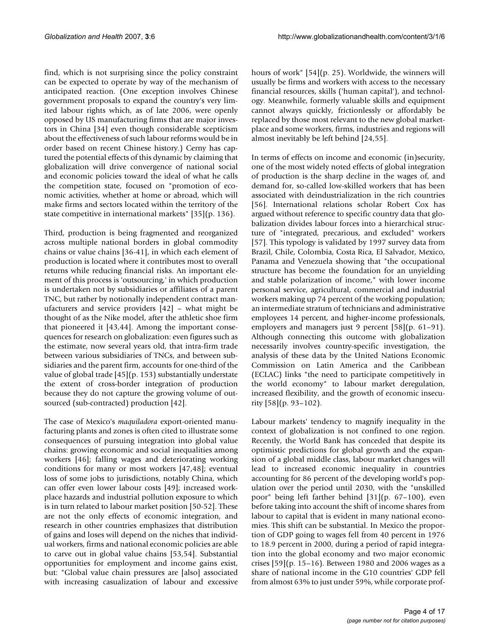find, which is not surprising since the policy constraint can be expected to operate by way of the mechanism of anticipated reaction. (One exception involves Chinese government proposals to expand the country's very limited labour rights which, as of late 2006, were openly opposed by US manufacturing firms that are major investors in China [34] even though considerable scepticism about the effectiveness of such labour reforms would be in order based on recent Chinese history.) Cerny has captured the potential effects of this dynamic by claiming that globalization will drive convergence of national social and economic policies toward the ideal of what he calls the competition state, focused on "promotion of economic activities, whether at home or abroad, which will make firms and sectors located within the territory of the state competitive in international markets" [35](p. 136).

Third, production is being fragmented and reorganized across multiple national borders in global commodity chains or value chains [36-41], in which each element of production is located where it contributes most to overall returns while reducing financial risks. An important element of this process is 'outsourcing,' in which production is undertaken not by subsidiaries or affiliates of a parent TNC, but rather by notionally independent contract manufacturers and service providers [42] – what might be thought of as the Nike model, after the athletic shoe firm that pioneered it [43,44]. Among the important consequences for research on globalization: even figures such as the estimate, now several years old, that intra-firm trade between various subsidiaries of TNCs, and between subsidiaries and the parent firm, accounts for one-third of the value of global trade [45](p. 153) substantially understate the extent of cross-border integration of production because they do not capture the growing volume of outsourced (sub-contracted) production [42].

The case of Mexico's *maquiladora* export-oriented manufacturing plants and zones is often cited to illustrate some consequences of pursuing integration into global value chains: growing economic and social inequalities among workers [46]; falling wages and deteriorating working conditions for many or most workers [47,48]; eventual loss of some jobs to jurisdictions, notably China, which can offer even lower labour costs [49]; increased workplace hazards and industrial pollution exposure to which is in turn related to labour market position [50-52]. These are not the only effects of economic integration, and research in other countries emphasizes that distribution of gains and loses will depend on the niches that individual workers, firms and national economic policies are able to carve out in global value chains [53,54]. Substantial opportunities for employment and income gains exist, but: "Global value chain pressures are [also] associated with increasing casualization of labour and excessive

hours of work" [54](p. 25). Worldwide, the winners will usually be firms and workers with access to the necessary financial resources, skills ('human capital'), and technology. Meanwhile, formerly valuable skills and equipment cannot always quickly, frictionlessly or affordably be replaced by those most relevant to the new global marketplace and some workers, firms, industries and regions will almost inevitably be left behind [24,55].

In terms of effects on income and economic (in)security, one of the most widely noted effects of global integration of production is the sharp decline in the wages of, and demand for, so-called low-skilled workers that has been associated with deindustrialization in the rich countries [56]. International relations scholar Robert Cox has argued without reference to specific country data that globalization divides labour forces into a hierarchical structure of "integrated, precarious, and excluded" workers [57]. This typology is validated by 1997 survey data from Brazil, Chile, Colombia, Costa Rica, El Salvador, Mexico, Panama and Venezuela showing that "the occupational structure has become the foundation for an unyielding and stable polarization of income," with lower income personal service, agricultural, commercial and industrial workers making up 74 percent of the working population; an intermediate stratum of technicians and administrative employees 14 percent, and higher-income professionals, employers and managers just 9 percent [58](p. 61–91). Although connecting this outcome with globalization necessarily involves country-specific investigation, the analysis of these data by the United Nations Economic Commission on Latin America and the Caribbean (ECLAC) links "the need to participate competitively in the world economy" to labour market deregulation, increased flexibility, and the growth of economic insecurity [58](p. 93–102).

Labour markets' tendency to magnify inequality in the context of globalization is not confined to one region. Recently, the World Bank has conceded that despite its optimistic predictions for global growth and the expansion of a global middle class, labour market changes will lead to increased economic inequality in countries accounting for 86 percent of the developing world's population over the period until 2030, with the "unskilled poor" being left farther behind [31](p. 67–100), even before taking into account the shift of income shares from labour to capital that is evident in many national economies. This shift can be substantial. In Mexico the proportion of GDP going to wages fell from 40 percent in 1976 to 18.9 percent in 2000, during a period of rapid integration into the global economy and two major economic crises [59](p. 15–16). Between 1980 and 2006 wages as a share of national income in the G10 countries' GDP fell from almost 63% to just under 59%, while corporate prof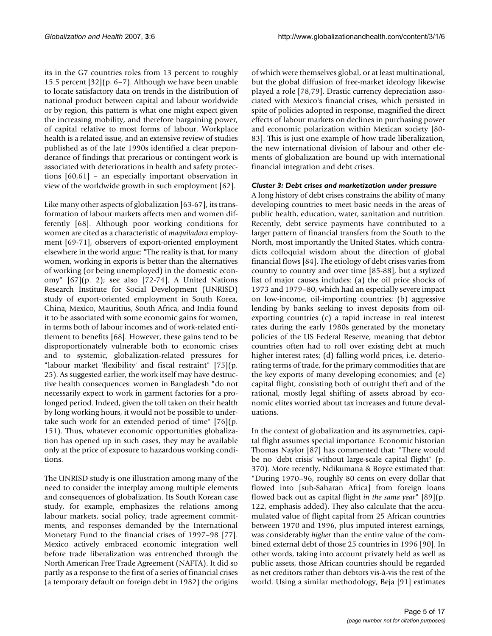its in the G7 countries roles from 13 percent to roughly 15.5 percent [32](p. 6–7). Although we have been unable to locate satisfactory data on trends in the distribution of national product between capital and labour worldwide or by region, this pattern is what one might expect given the increasing mobility, and therefore bargaining power, of capital relative to most forms of labour. Workplace health is a related issue, and an extensive review of studies published as of the late 1990s identified a clear preponderance of findings that precarious or contingent work is associated with deteriorations in health and safety protections [60,61] – an especially important observation in view of the worldwide growth in such employment [62].

Like many other aspects of globalization [63-67], its transformation of labour markets affects men and women differently [68]. Although poor working conditions for women are cited as a characteristic of *maquiladora* employment [69-71], observers of export-oriented employment elsewhere in the world argue: "The reality is that, for many women, working in exports is better than the alternatives of working (or being unemployed) in the domestic economy" [67](p. 2); see also [72-74]. A United Nations Research Institute for Social Development (UNRISD) study of export-oriented employment in South Korea, China, Mexico, Mauritius, South Africa, and India found it to be associated with some economic gains for women, in terms both of labour incomes and of work-related entitlement to benefits [68]. However, these gains tend to be disproportionately vulnerable both to economic crises and to systemic, globalization-related pressures for "labour market 'flexibility' and fiscal restraint" [75](p. 25). As suggested earlier, the work itself may have destructive health consequences: women in Bangladesh "do not necessarily expect to work in garment factories for a prolonged period. Indeed, given the toll taken on their health by long working hours, it would not be possible to undertake such work for an extended period of time" [76](p. 151). Thus, whatever economic opportunities globalization has opened up in such cases, they may be available only at the price of exposure to hazardous working conditions.

The UNRISD study is one illustration among many of the need to consider the interplay among multiple elements and consequences of globalization. Its South Korean case study, for example, emphasizes the relations among labour markets, social policy, trade agreement commitments, and responses demanded by the International Monetary Fund to the financial crises of 1997–98 [77]. Mexico actively embraced economic integration well before trade liberalization was entrenched through the North American Free Trade Agreement (NAFTA). It did so partly as a response to the first of a series of financial crises (a temporary default on foreign debt in 1982) the origins

of which were themselves global, or at least multinational, but the global diffusion of free-market ideology likewise played a role [78,79]. Drastic currency depreciation associated with Mexico's financial crises, which persisted in spite of policies adopted in response, magnified the direct effects of labour markets on declines in purchasing power and economic polarization within Mexican society [80- 83]. This is just one example of how trade liberalization, the new international division of labour and other elements of globalization are bound up with international financial integration and debt crises.

## *Cluster 3: Debt crises and marketization under pressure*

A long history of debt crises constrains the ability of many developing countries to meet basic needs in the areas of public health, education, water, sanitation and nutrition. Recently, debt service payments have contributed to a larger pattern of financial transfers from the South to the North, most importantly the United States, which contradicts colloquial wisdom about the direction of global financial flows [84]. The etiology of debt crises varies from country to country and over time [85-88], but a stylized list of major causes includes: (a) the oil price shocks of 1973 and 1979–80, which had an especially severe impact on low-income, oil-importing countries; (b) aggressive lending by banks seeking to invest deposits from oilexporting countries (c) a rapid increase in real interest rates during the early 1980s generated by the monetary policies of the US Federal Reserve, meaning that debtor countries often had to roll over existing debt at much higher interest rates; (d) falling world prices, i.e. deteriorating terms of trade, for the primary commodities that are the key exports of many developing economies; and (e) capital flight, consisting both of outright theft and of the rational, mostly legal shifting of assets abroad by economic elites worried about tax increases and future devaluations.

In the context of globalization and its asymmetries, capital flight assumes special importance. Economic historian Thomas Naylor [87] has commented that: "There would be no 'debt crisis' without large-scale capital flight" (p. 370). More recently, Ndikumana & Boyce estimated that: "During 1970–96, roughly 80 cents on every dollar that flowed into [sub-Saharan Africa] from foreign loans flowed back out as capital flight *in the same year*" [89](p. 122, emphasis added). They also calculate that the accumulated value of flight capital from 25 African countries between 1970 and 1996, plus imputed interest earnings, was considerably *higher* than the entire value of the combined external debt of those 25 countries in 1996 [90]. In other words, taking into account privately held as well as public assets, those African countries should be regarded as net creditors rather than debtors vis-à-vis the rest of the world. Using a similar methodology, Beja [91] estimates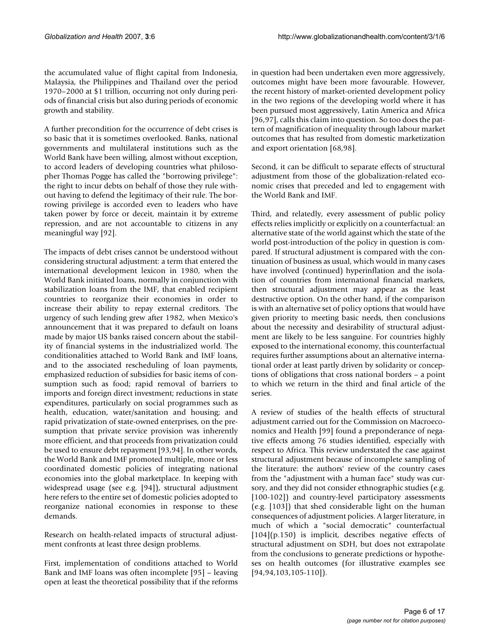the accumulated value of flight capital from Indonesia, Malaysia, the Philippines and Thailand over the period 1970–2000 at \$1 trillion, occurring not only during periods of financial crisis but also during periods of economic growth and stability.

A further precondition for the occurrence of debt crises is so basic that it is sometimes overlooked. Banks, national governments and multilateral institutions such as the World Bank have been willing, almost without exception, to accord leaders of developing countries what philosopher Thomas Pogge has called the "borrowing privilege": the right to incur debts on behalf of those they rule without having to defend the legitimacy of their rule. The borrowing privilege is accorded even to leaders who have taken power by force or deceit, maintain it by extreme repression, and are not accountable to citizens in any meaningful way [92].

The impacts of debt crises cannot be understood without considering structural adjustment: a term that entered the international development lexicon in 1980, when the World Bank initiated loans, normally in conjunction with stabilization loans from the IMF, that enabled recipient countries to reorganize their economies in order to increase their ability to repay external creditors. The urgency of such lending grew after 1982, when Mexico's announcement that it was prepared to default on loans made by major US banks raised concern about the stability of financial systems in the industrialized world. The conditionalities attached to World Bank and IMF loans, and to the associated rescheduling of loan payments, emphasized reduction of subsidies for basic items of consumption such as food; rapid removal of barriers to imports and foreign direct investment; reductions in state expenditures, particularly on social programmes such as health, education, water/sanitation and housing; and rapid privatization of state-owned enterprises, on the presumption that private service provision was inherently more efficient, and that proceeds from privatization could be used to ensure debt repayment [93,94]. In other words, the World Bank and IMF promoted multiple, more or less coordinated domestic policies of integrating national economies into the global marketplace. In keeping with widespread usage (see e.g. [94]), structural adjustment here refers to the entire set of domestic policies adopted to reorganize national economies in response to these demands.

Research on health-related impacts of structural adjustment confronts at least three design problems.

First, implementation of conditions attached to World Bank and IMF loans was often incomplete [95] – leaving open at least the theoretical possibility that if the reforms

in question had been undertaken even more aggressively, outcomes might have been more favourable. However, the recent history of market-oriented development policy in the two regions of the developing world where it has been pursued most aggressively, Latin America and Africa [96,97], calls this claim into question. So too does the pattern of magnification of inequality through labour market outcomes that has resulted from domestic marketization and export orientation [68,98].

Second, it can be difficult to separate effects of structural adjustment from those of the globalization-related economic crises that preceded and led to engagement with the World Bank and IMF.

Third, and relatedly, every assessment of public policy effects relies implicitly or explicitly on a counterfactual: an alternative state of the world against which the state of the world post-introduction of the policy in question is compared. If structural adjustment is compared with the continuation of business as usual, which would in many cases have involved (continued) hyperinflation and the isolation of countries from international financial markets, then structural adjustment may appear as the least destructive option. On the other hand, if the comparison is with an alternative set of policy options that would have given priority to meeting basic needs, then conclusions about the necessity and desirability of structural adjustment are likely to be less sanguine. For countries highly exposed to the international economy, this counterfactual requires further assumptions about an alternative international order at least partly driven by solidarity or conceptions of obligations that cross national borders – a point to which we return in the third and final article of the series.

A review of studies of the health effects of structural adjustment carried out for the Commission on Macroeconomics and Health [99] found a preponderance of negative effects among 76 studies identified, especially with respect to Africa. This review understated the case against structural adjustment because of incomplete sampling of the literature: the authors' review of the country cases from the "adjustment with a human face" study was cursory, and they did not consider ethnographic studies (e.g. [100-102]) and country-level participatory assessments (e.g. [103]) that shed considerable light on the human consequences of adjustment policies. A larger literature, in much of which a "social democratic" counterfactual [104](p.150) is implicit, describes negative effects of structural adjustment on SDH, but does not extrapolate from the conclusions to generate predictions or hypotheses on health outcomes (for illustrative examples see [94,94,103,105-110]).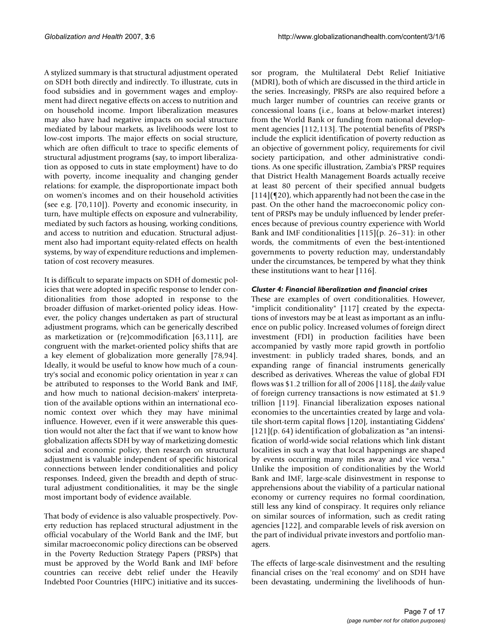A stylized summary is that structural adjustment operated on SDH both directly and indirectly. To illustrate, cuts in food subsidies and in government wages and employment had direct negative effects on access to nutrition and on household income. Import liberalization measures may also have had negative impacts on social structure mediated by labour markets, as livelihoods were lost to low-cost imports. The major effects on social structure, which are often difficult to trace to specific elements of structural adjustment programs (say, to import liberalization as opposed to cuts in state employment) have to do with poverty, income inequality and changing gender relations: for example, the disproportionate impact both on women's incomes and on their household activities (see e.g. [70,110]). Poverty and economic insecurity, in turn, have multiple effects on exposure and vulnerability, mediated by such factors as housing, working conditions, and access to nutrition and education. Structural adjustment also had important equity-related effects on health systems, by way of expenditure reductions and implementation of cost recovery measures.

It is difficult to separate impacts on SDH of domestic policies that were adopted in specific response to lender conditionalities from those adopted in response to the broader diffusion of market-oriented policy ideas. However, the policy changes undertaken as part of structural adjustment programs, which can be generically described as marketization or (re)commodification [63,111], are congruent with the market-oriented policy shifts that are a key element of globalization more generally [78,94]. Ideally, it would be useful to know how much of a country's social and economic policy orientation in year *x* can be attributed to responses to the World Bank and IMF, and how much to national decision-makers' interpretation of the available options within an international economic context over which they may have minimal influence. However, even if it were answerable this question would not alter the fact that if we want to know how globalization affects SDH by way of marketizing domestic social and economic policy, then research on structural adjustment is valuable independent of specific historical connections between lender conditionalities and policy responses. Indeed, given the breadth and depth of structural adjustment conditionalities, it may be the single most important body of evidence available.

That body of evidence is also valuable prospectively. Poverty reduction has replaced structural adjustment in the official vocabulary of the World Bank and the IMF, but similar macroeconomic policy directions can be observed in the Poverty Reduction Strategy Papers (PRSPs) that must be approved by the World Bank and IMF before countries can receive debt relief under the Heavily Indebted Poor Countries (HIPC) initiative and its successor program, the Multilateral Debt Relief Initiative (MDRI), both of which are discussed in the third article in the series. Increasingly, PRSPs are also required before a much larger number of countries can receive grants or concessional loans (i.e., loans at below-market interest) from the World Bank or funding from national development agencies [112,113]. The potential benefits of PRSPs include the explicit identification of poverty reduction as an objective of government policy, requirements for civil society participation, and other administrative conditions. As one specific illustration, Zambia's PRSP requires that District Health Management Boards actually receive at least 80 percent of their specified annual budgets [114](¶20), which apparently had not been the case in the past. On the other hand the macroeconomic policy content of PRSPs may be unduly influenced by lender preferences because of previous country experience with World Bank and IMF conditionalities [115](p. 26–31): in other words, the commitments of even the best-intentioned governments to poverty reduction may, understandably under the circumstances, be tempered by what they think these institutions want to hear [116].

## *Cluster 4: Financial liberalization and financial crises*

These are examples of overt conditionalities. However, "implicit conditionality" [117] created by the expectations of investors may be at least as important as an influence on public policy. Increased volumes of foreign direct investment (FDI) in production facilities have been accompanied by vastly more rapid growth in portfolio investment: in publicly traded shares, bonds, and an expanding range of financial instruments generically described as derivatives. Whereas the value of global FDI flows was \$1.2 trillion for all of 2006 [118], the *daily* value of foreign currency transactions is now estimated at \$1.9 trillion [119]. Financial liberalization exposes national economies to the uncertainties created by large and volatile short-term capital flows [120], instantiating Giddens' [121](p. 64) identification of globalization as "an intensification of world-wide social relations which link distant localities in such a way that local happenings are shaped by events occurring many miles away and vice versa." Unlike the imposition of conditionalities by the World Bank and IMF, large-scale disinvestment in response to apprehensions about the viability of a particular national economy or currency requires no formal coordination, still less any kind of conspiracy. It requires only reliance on similar sources of information, such as credit rating agencies [122], and comparable levels of risk aversion on the part of individual private investors and portfolio managers.

The effects of large-scale disinvestment and the resulting financial crises on the 'real economy' and on SDH have been devastating, undermining the livelihoods of hun-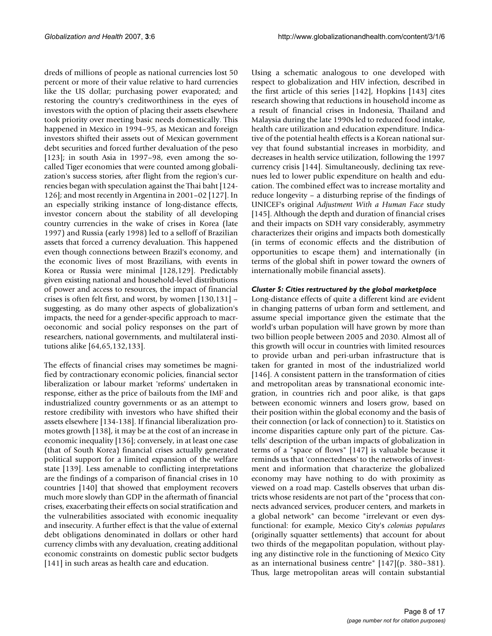dreds of millions of people as national currencies lost 50 percent or more of their value relative to hard currencies like the US dollar; purchasing power evaporated; and restoring the country's creditworthiness in the eyes of investors with the option of placing their assets elsewhere took priority over meeting basic needs domestically. This happened in Mexico in 1994–95, as Mexican and foreign investors shifted their assets out of Mexican government debt securities and forced further devaluation of the peso [123]; in south Asia in 1997–98, even among the socalled Tiger economies that were counted among globalization's success stories, after flight from the region's currencies began with speculation against the Thai baht [124- 126]; and most recently in Argentina in 2001–02 [127]. In an especially striking instance of long-distance effects, investor concern about the stability of all developing country currencies in the wake of crises in Korea (late 1997) and Russia (early 1998) led to a selloff of Brazilian assets that forced a currency devaluation. This happened even though connections between Brazil's economy, and the economic lives of most Brazilians, with events in Korea or Russia were minimal [128,129]. Predictably given existing national and household-level distributions of power and access to resources, the impact of financial crises is often felt first, and worst, by women [130,131] – suggesting, as do many other aspects of globalization's impacts, the need for a gender-specific approach to macroeconomic and social policy responses on the part of researchers, national governments, and multilateral institutions alike [64,65,132,133].

The effects of financial crises may sometimes be magnified by contractionary economic policies, financial sector liberalization or labour market 'reforms' undertaken in response, either as the price of bailouts from the IMF and industrialized country governments or as an attempt to restore credibility with investors who have shifted their assets elsewhere [134-138]. If financial liberalization promotes growth [138], it may be at the cost of an increase in economic inequality [136]; conversely, in at least one case (that of South Korea) financial crises actually generated political support for a limited expansion of the welfare state [139]. Less amenable to conflicting interpretations are the findings of a comparison of financial crises in 10 countries [140] that showed that employment recovers much more slowly than GDP in the aftermath of financial crises, exacerbating their effects on social stratification and the vulnerabilities associated with economic inequality and insecurity. A further effect is that the value of external debt obligations denominated in dollars or other hard currency climbs with any devaluation, creating additional economic constraints on domestic public sector budgets [141] in such areas as health care and education.

Using a schematic analogous to one developed with respect to globalization and HIV infection, described in the first article of this series [142], Hopkins [143] cites research showing that reductions in household income as a result of financial crises in Indonesia, Thailand and Malaysia during the late 1990s led to reduced food intake, health care utilization and education expenditure. Indicative of the potential health effects is a Korean national survey that found substantial increases in morbidity, and decreases in health service utilization, following the 1997 currency crisis [144]. Simultaneously, declining tax revenues led to lower public expenditure on health and education. The combined effect was to increase mortality and reduce longevity – a disturbing reprise of the findings of UNICEF's original *Adjustment With a Human Face* study [145]. Although the depth and duration of financial crises and their impacts on SDH vary considerably, asymmetry characterizes their origins and impacts both domestically (in terms of economic effects and the distribution of opportunities to escape them) and internationally (in terms of the global shift in power toward the owners of internationally mobile financial assets).

## *Cluster 5: Cities restructured by the global marketplace*

Long-distance effects of quite a different kind are evident in changing patterns of urban form and settlement, and assume special importance given the estimate that the world's urban population will have grown by more than two billion people between 2005 and 2030. Almost all of this growth will occur in countries with limited resources to provide urban and peri-urban infrastructure that is taken for granted in most of the industrialized world [146]. A consistent pattern in the transformation of cities and metropolitan areas by transnational economic integration, in countries rich and poor alike, is that gaps between economic winners and losers grow, based on their position within the global economy and the basis of their connection (or lack of connection) to it. Statistics on income disparities capture only part of the picture. Castells' description of the urban impacts of globalization in terms of a "space of flows" [147] is valuable because it reminds us that 'connectedness' to the networks of investment and information that characterize the globalized economy may have nothing to do with proximity as viewed on a road map. Castells observes that urban districts whose residents are not part of the "process that connects advanced services, producer centers, and markets in a global network" can become "irrelevant or even dysfunctional: for example, Mexico City's *colonias populares* (originally squatter settlements) that account for about two thirds of the megapolitan population, without playing any distinctive role in the functioning of Mexico City as an international business centre" [147](p. 380–381). Thus, large metropolitan areas will contain substantial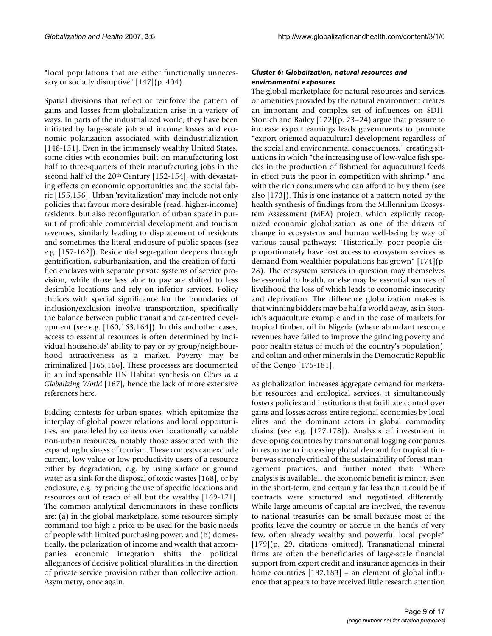"local populations that are either functionally unnecessary or socially disruptive" [147](p. 404).

Spatial divisions that reflect or reinforce the pattern of gains and losses from globalization arise in a variety of ways. In parts of the industrialized world, they have been initiated by large-scale job and income losses and economic polarization associated with deindustrialization [148-151]. Even in the immensely wealthy United States, some cities with economies built on manufacturing lost half to three-quarters of their manufacturing jobs in the second half of the 20<sup>th</sup> Century [152-154], with devastating effects on economic opportunities and the social fabric [155,156]. Urban 'revitalization' may include not only policies that favour more desirable (read: higher-income) residents, but also reconfiguration of urban space in pursuit of profitable commercial development and tourism revenues, similarly leading to displacement of residents and sometimes the literal enclosure of public spaces (see e.g. [157-162]). Residential segregation deepens through gentrification, suburbanization, and the creation of fortified enclaves with separate private systems of service provision, while those less able to pay are shifted to less desirable locations and rely on inferior services. Policy choices with special significance for the boundaries of inclusion/exclusion involve transportation, specifically the balance between public transit and car-centred development (see e.g. [160,163,164]). In this and other cases, access to essential resources is often determined by individual households' ability to pay or by group/neighbourhood attractiveness as a market. Poverty may be criminalized [165,166]. These processes are documented in an indispensable UN Habitat synthesis on *Cities in a Globalizing World* [167], hence the lack of more extensive references here.

Bidding contests for urban spaces, which epitomize the interplay of global power relations and local opportunities, are paralleled by contests over locationally valuable non-urban resources, notably those associated with the expanding business of tourism. These contests can exclude current, low-value or low-productivity users of a resource either by degradation, e.g. by using surface or ground water as a sink for the disposal of toxic wastes [168], or by enclosure, e.g. by pricing the use of specific locations and resources out of reach of all but the wealthy [169-171]. The common analytical denominators in these conflicts are: (a) in the global marketplace, some resources simply command too high a price to be used for the basic needs of people with limited purchasing power, and (b) domestically, the polarization of income and wealth that accompanies economic integration shifts the political allegiances of decisive political pluralities in the direction of private service provision rather than collective action. Asymmetry, once again.

## *Cluster 6: Globalization, natural resources and environmental exposures*

The global marketplace for natural resources and services or amenities provided by the natural environment creates an important and complex set of influences on SDH. Stonich and Bailey [172](p. 23–24) argue that pressure to increase export earnings leads governments to promote "export-oriented aquacultural development regardless of the social and environmental consequences," creating situations in which "the increasing use of low-value fish species in the production of fishmeal for aquacultural feeds in effect puts the poor in competition with shrimp," and with the rich consumers who can afford to buy them (see also [173]). This is one instance of a pattern noted by the health synthesis of findings from the Millennium Ecosystem Assessment (MEA) project, which explicitly recognized economic globalization as one of the drivers of change in ecosystems and human well-being by way of various causal pathways: "Historically, poor people disproportionately have lost access to ecosystem services as demand from wealthier populations has grown" [174](p. 28). The ecosystem services in question may themselves be essential to health, or else may be essential sources of livelihood the loss of which leads to economic insecurity and deprivation. The difference globalization makes is that winning bidders may be half a world away, as in Stonich's aquaculture example and in the case of markets for tropical timber, oil in Nigeria (where abundant resource revenues have failed to improve the grinding poverty and poor health status of much of the country's population), and coltan and other minerals in the Democratic Republic of the Congo [175-181].

As globalization increases aggregate demand for marketable resources and ecological services, it simultaneously fosters policies and institutions that facilitate control over gains and losses across entire regional economies by local elites and the dominant actors in global commodity chains (see e.g. [177,178]). Analysis of investment in developing countries by transnational logging companies in response to increasing global demand for tropical timber was strongly critical of the sustainability of forest management practices, and further noted that: "Where analysis is available... the economic benefit is minor, even in the short-term, and certainly far less than it could be if contracts were structured and negotiated differently. While large amounts of capital are involved, the revenue to national treasuries can be small because most of the profits leave the country or accrue in the hands of very few, often already wealthy and powerful local people" [179](p. 29, citations omitted). Transnational mineral firms are often the beneficiaries of large-scale financial support from export credit and insurance agencies in their home countries [182,183] – an element of global influence that appears to have received little research attention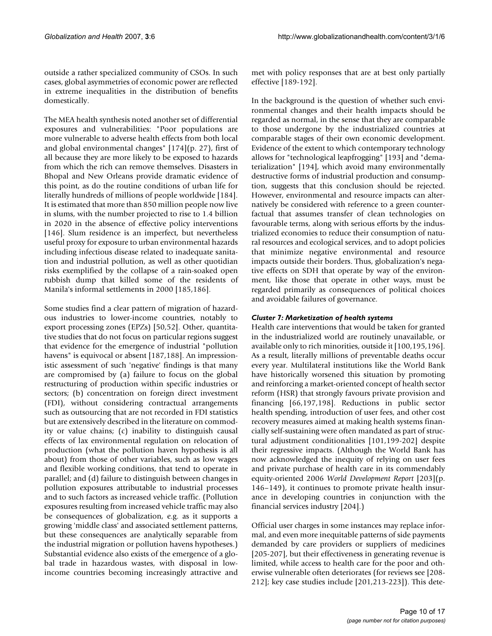outside a rather specialized community of CSOs. In such cases, global asymmetries of economic power are reflected in extreme inequalities in the distribution of benefits domestically.

The MEA health synthesis noted another set of differential exposures and vulnerabilities: "Poor populations are more vulnerable to adverse health effects from both local and global environmental changes" [174](p. 27), first of all because they are more likely to be exposed to hazards from which the rich can remove themselves. Disasters in Bhopal and New Orleans provide dramatic evidence of this point, as do the routine conditions of urban life for literally hundreds of millions of people worldwide [184]. It is estimated that more than 850 million people now live in slums, with the number projected to rise to 1.4 billion in 2020 in the absence of effective policy interventions [146]. Slum residence is an imperfect, but nevertheless useful proxy for exposure to urban environmental hazards including infectious disease related to inadequate sanitation and industrial pollution, as well as other quotidian risks exemplified by the collapse of a rain-soaked open rubbish dump that killed some of the residents of Manila's informal settlements in 2000 [185,186].

Some studies find a clear pattern of migration of hazardous industries to lower-income countries, notably to export processing zones (EPZs) [50,52]. Other, quantitative studies that do not focus on particular regions suggest that evidence for the emergence of industrial "pollution havens" is equivocal or absent [187,188]. An impressionistic assessment of such 'negative' findings is that many are compromised by (a) failure to focus on the global restructuring of production within specific industries or sectors; (b) concentration on foreign direct investment (FDI), without considering contractual arrangements such as outsourcing that are not recorded in FDI statistics but are extensively described in the literature on commodity or value chains; (c) inability to distinguish causal effects of lax environmental regulation on relocation of production (what the pollution haven hypothesis is all about) from those of other variables, such as low wages and flexible working conditions, that tend to operate in parallel; and (d) failure to distinguish between changes in pollution exposures attributable to industrial processes and to such factors as increased vehicle traffic. (Pollution exposures resulting from increased vehicle traffic may also be consequences of globalization, e.g. as it supports a growing 'middle class' and associated settlement patterns, but these consequences are analytically separable from the industrial migration or pollution havens hypotheses.) Substantial evidence also exists of the emergence of a global trade in hazardous wastes, with disposal in lowincome countries becoming increasingly attractive and

met with policy responses that are at best only partially effective [189-192].

In the background is the question of whether such environmental changes and their health impacts should be regarded as normal, in the sense that they are comparable to those undergone by the industrialized countries at comparable stages of their own economic development. Evidence of the extent to which contemporary technology allows for "technological leapfrogging" [193] and "dematerialization" [194], which avoid many environmentally destructive forms of industrial production and consumption, suggests that this conclusion should be rejected. However, environmental and resource impacts can alternatively be considered with reference to a green counterfactual that assumes transfer of clean technologies on favourable terms, along with serious efforts by the industrialized economies to reduce their consumption of natural resources and ecological services, and to adopt policies that minimize negative environmental and resource impacts outside their borders. Thus, globalization's negative effects on SDH that operate by way of the environment, like those that operate in other ways, must be regarded primarily as consequences of political choices and avoidable failures of governance.

## *Cluster 7: Marketization of health systems*

Health care interventions that would be taken for granted in the industrialized world are routinely unavailable, or available only to rich minorities, outside it [100,195,196]. As a result, literally millions of preventable deaths occur every year. Multilateral institutions like the World Bank have historically worsened this situation by promoting and reinforcing a market-oriented concept of health sector reform (HSR) that strongly favours private provision and financing [66,197,198]. Reductions in public sector health spending, introduction of user fees, and other cost recovery measures aimed at making health systems financially self-sustaining were often mandated as part of structural adjustment conditionalities [101,199-202] despite their regressive impacts. (Although the World Bank has now acknowledged the inequity of relying on user fees and private purchase of health care in its commendably equity-oriented 2006 *World Development Report* [203](p. 146–149), it continues to promote private health insurance in developing countries in conjunction with the financial services industry [204].)

Official user charges in some instances may replace informal, and even more inequitable patterns of side payments demanded by care providers or suppliers of medicines [205-207], but their effectiveness in generating revenue is limited, while access to health care for the poor and otherwise vulnerable often deteriorates (for reviews see [208- 212]; key case studies include [201,213-223]). This dete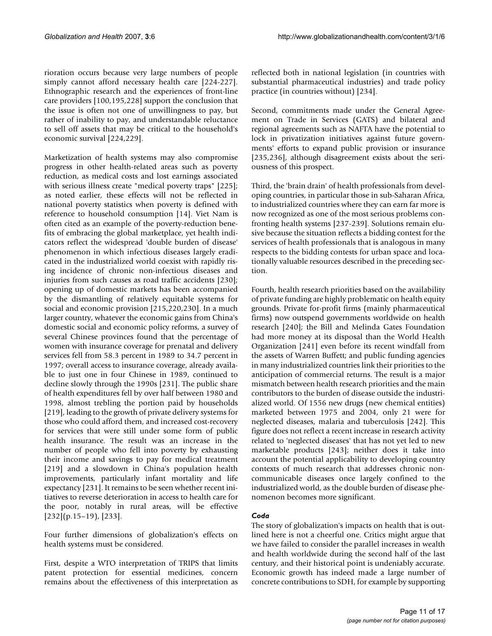rioration occurs because very large numbers of people simply cannot afford necessary health care [224-227]. Ethnographic research and the experiences of front-line care providers [100,195,228] support the conclusion that the issue is often not one of unwillingness to pay, but rather of inability to pay, and understandable reluctance to sell off assets that may be critical to the household's economic survival [224,229].

Marketization of health systems may also compromise progress in other health-related areas such as poverty reduction, as medical costs and lost earnings associated with serious illness create "medical poverty traps" [225]; as noted earlier, these effects will not be reflected in national poverty statistics when poverty is defined with reference to household consumption [14]. Viet Nam is often cited as an example of the poverty-reduction benefits of embracing the global marketplace, yet health indicators reflect the widespread 'double burden of disease' phenomenon in which infectious diseases largely eradicated in the industrialized world coexist with rapidly rising incidence of chronic non-infectious diseases and injuries from such causes as road traffic accidents [230]; opening up of domestic markets has been accompanied by the dismantling of relatively equitable systems for social and economic provision [215,220,230]. In a much larger country, whatever the economic gains from China's domestic social and economic policy reforms, a survey of several Chinese provinces found that the percentage of women with insurance coverage for prenatal and delivery services fell from 58.3 percent in 1989 to 34.7 percent in 1997; overall access to insurance coverage, already available to just one in four Chinese in 1989, continued to decline slowly through the 1990s [231]. The public share of health expenditures fell by over half between 1980 and 1998, almost trebling the portion paid by households [219], leading to the growth of private delivery systems for those who could afford them, and increased cost-recovery for services that were still under some form of public health insurance. The result was an increase in the number of people who fell into poverty by exhausting their income and savings to pay for medical treatment [219] and a slowdown in China's population health improvements, particularly infant mortality and life expectancy [231]. It remains to be seen whether recent initiatives to reverse deterioration in access to health care for the poor, notably in rural areas, will be effective [232](p.15–19), [233].

Four further dimensions of globalization's effects on health systems must be considered.

First, despite a WTO interpretation of TRIPS that limits patent protection for essential medicines, concern remains about the effectiveness of this interpretation as

reflected both in national legislation (in countries with substantial pharmaceutical industries) and trade policy practice (in countries without) [234].

Second, commitments made under the General Agreement on Trade in Services (GATS) and bilateral and regional agreements such as NAFTA have the potential to lock in privatization initiatives against future governments' efforts to expand public provision or insurance [235,236], although disagreement exists about the seriousness of this prospect.

Third, the 'brain drain' of health professionals from developing countries, in particular those in sub-Saharan Africa, to industrialized countries where they can earn far more is now recognized as one of the most serious problems confronting health systems [237-239]. Solutions remain elusive because the situation reflects a bidding contest for the services of health professionals that is analogous in many respects to the bidding contests for urban space and locationally valuable resources described in the preceding section.

Fourth, health research priorities based on the availability of private funding are highly problematic on health equity grounds. Private for-profit firms (mainly pharmaceutical firms) now outspend governments worldwide on health research [240]; the Bill and Melinda Gates Foundation had more money at its disposal than the World Health Organization [241] even before its recent windfall from the assets of Warren Buffett; and public funding agencies in many industrialized countries link their priorities to the anticipation of commercial returns. The result is a major mismatch between health research priorities and the main contributors to the burden of disease outside the industrialized world. Of 1556 new drugs (new chemical entities) marketed between 1975 and 2004, only 21 were for neglected diseases, malaria and tuberculosis [242]. This figure does not reflect a recent increase in research activity related to 'neglected diseases' that has not yet led to new marketable products [243]; neither does it take into account the potential applicability to developing country contexts of much research that addresses chronic noncommunicable diseases once largely confined to the industrialized world, as the double burden of disease phenomenon becomes more significant.

## *Coda*

The story of globalization's impacts on health that is outlined here is not a cheerful one. Critics might argue that we have failed to consider the parallel increases in wealth and health worldwide during the second half of the last century, and their historical point is undeniably accurate. Economic growth has indeed made a large number of concrete contributions to SDH, for example by supporting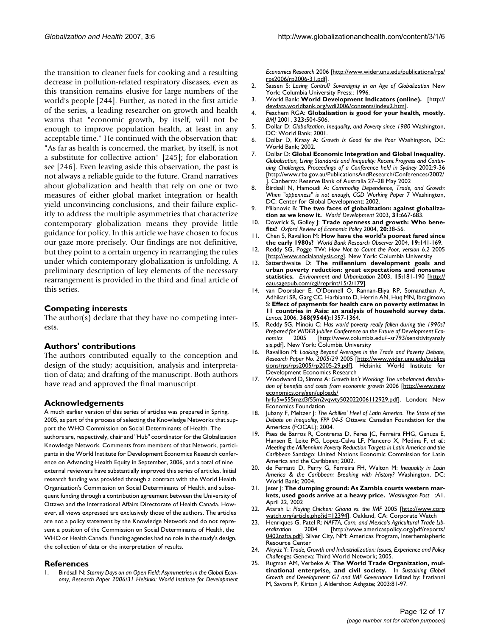the transition to cleaner fuels for cooking and a resulting decrease in pollution-related respiratory diseases, even as this transition remains elusive for large numbers of the world's people [244]. Further, as noted in the first article of the series, a leading researcher on growth and health warns that "economic growth, by itself, will not be enough to improve population health, at least in any acceptable time." He continued with the observation that: "As far as health is concerned, the market, by itself, is not a substitute for collective action" [245]; for elaboration see [246]. Even leaving aside this observation, the past is not always a reliable guide to the future. Grand narratives about globalization and health that rely on one or two measures of either global market integration or health yield unconvincing conclusions, and their failure explicitly to address the multiple asymmetries that characterize contemporary globalization means they provide little guidance for policy. In this article we have chosen to focus our gaze more precisely. Our findings are not definitive, but they point to a certain urgency in rearranging the rules under which contemporary globalization is unfolding. A preliminary description of key elements of the necessary rearrangement is provided in the third and final article of this series.

#### **Competing interests**

The author(s) declare that they have no competing interests.

#### **Authors' contributions**

The authors contributed equally to the conception and design of the study; acquisition, analysis and interpretation of data; and drafting of the manuscript. Both authors have read and approved the final manuscript.

#### **Acknowledgements**

A much earlier version of this series of articles was prepared in Spring, 2005, as part of the process of selecting the Knowledge Networks that support the WHO Commission on Social Determinants of Health. The authors are, respectively, chair and "Hub" coordinator for the Globalization Knowledge Network. Comments from members of that Network, participants in the World Institute for Development Economics Research conference on Advancing Health Equity in September, 2006, and a total of nine external reviewers have substantially improved this series of articles. Initial research funding was provided through a contract with the World Health Organization's Commission on Social Determinants of Health, and subsequent funding through a contribution agreement between the University of Ottawa and the International Affairs Directorate of Health Canada. However, all views expressed are exclusively those of the authors. The articles are not a policy statement by the Knowledge Network and do not represent a position of the Commission on Social Determinants of Health, the WHO or Health Canada. Funding agencies had no role in the study's design, the collection of data or the interpretation of results.

#### **References**

Birdsall N: Stormy Days on an Open Field: Asymmetries in the Global Econ*omy, Research Paper 2006/31 Helsinki: World Institute for Development* *Economics Research* 2006 [\[http://www.wider.unu.edu/publications/rps/](http://www.wider.unu.edu/publications/rps/rps2006/rp2006-31.pdf) [rps2006/rp2006-31.pdf](http://www.wider.unu.edu/publications/rps/rps2006/rp2006-31.pdf)].

- 2. Sassen S: *Losing Control? Sovereignty in an Age of Globalization* New York: Columbia University Press;; 1996.
- 3. World Bank: **World Development Indicators (online).** [\[http://](http://devdata.worldbank.org/wdi2006/contents/index2.htm) [devdata.worldbank.org/wdi2006/contents/index2.htm\]](http://devdata.worldbank.org/wdi2006/contents/index2.htm).
- 4. Feachem RGA: **[Globalisation is good for your health, mostly.](http://www.ncbi.nlm.nih.gov/entrez/query.fcgi?cmd=Retrieve&db=PubMed&dopt=Abstract&list_uids=11532848)** *BMJ* 2001, **323:**504-506.
- 5. Dollar D: *Globalization, Inequality, and Poverty since 1980* Washington, DC: World Bank; 2001.
- 6. Dollar D, Kraay A: *Growth Is Good for the Poor* Washington, DC: World Bank; 2002.
- 7. Dollar D: **Global Economic Integration and Global Inequality.** *Globalisation, Living Standards and Inequality: Recent Progress and Continuing Challenges, Proceedings of a Conference held in Sydney* 2002:9-36 [<http://www.rba.gov.au/PublicationsAndResearch/Conferences/2002/> ]. Canberra: Reserve Bank of Australia 27–28 May 2002
- 8. Birdsall N, Hamoudi A: *Commodity Dependence, Trade, and Growth: When "oppenness" is not enough, CGD Working Paper 7* Washington, DC: Center for Global Development; 2002.
- 9. Milanovic B: **The two faces of globalization: against globalization as we know it.** *World Development* 2003, **31:**667-683.
- 10. Dowrick S, Golley J: **Trade openness and growth: Who benefits?** *Oxford Review of Economic Policy* 2004, **20:**38-56.
- 11. Chen S, Ravallion M: **How have the world's poorest fared since the early 1980s?** *World Bank Research Observer* 2004, **19:**141-169.
- 12. Reddy SG, Pogge TW: *How Not to Count the Poor, version 6.2* 2005 [[http://www.socialanalysis.org\]](http://www.socialanalysis.org). New York: Columbia University
- 13. Satterthwaite D: **The millennium development goals and urban poverty reduction: great expectations and nonsense statistics.** *Environment and Urbanization* 2003, **15:**181-190 [\[http://](http://eau.sagepub.com/cgi/reprint/15/2/179) [eau.sagepub.com/cgi/reprint/15/2/179](http://eau.sagepub.com/cgi/reprint/15/2/179)].
- 14. van Doorslaer E, O'Donnell O, Rannan-Eliya RP, Somanathan A, Adhikari SR, Garg CC, Harbianto D, Herrin AN, Huq MN, Ibragimova S: **[Effect of payments for health care on poverty estimates in](http://www.ncbi.nlm.nih.gov/entrez/query.fcgi?cmd=Retrieve&db=PubMed&dopt=Abstract&list_uids=17046468) [11 countries in Asia: an analysis of household survey data.](http://www.ncbi.nlm.nih.gov/entrez/query.fcgi?cmd=Retrieve&db=PubMed&dopt=Abstract&list_uids=17046468)** *Lancet* 2006, **368(9544):**1357-1364.
- 15. Reddy SG, Minoiu C: *Has world poverty really fallen during the 1990s? Prepared for WIDER Jubilee Conference on the Future of Development Economics* 2005 [[http://www.columbia.edu/~sr793/sensitivityanaly](http://www.columbia.edu/~sr793/sensitivityanalysis.pdf) [sis.pdf\]](http://www.columbia.edu/~sr793/sensitivityanalysis.pdf). New York: Columbia University
- 16. Ravallion M: *Looking Beyond Averages in the Trade and Poverty Debate, Research Paper No. 2005/29* 2005 [[http://www.wider.unu.edu/publica](http://www.wider.unu.edu/publications/rps/rps2005/rp2005-29.pdf) [tions/rps/rps2005/rp2005-29.pdf\]](http://www.wider.unu.edu/publications/rps/rps2005/rp2005-29.pdf). Helsinki: World Institute for Development Economics Research
- 17. Woodward D, Simms A: *Growth Isn't Working: The unbalanced distribution of benefits and costs from economic growth* 2006 [[http://www.new](http://www.neweconomics.org/gen/uploads/hrfu5w555mzd3f55m2vqwty502022006112929.pdf) [economics.org/gen/uploads/](http://www.neweconomics.org/gen/uploads/hrfu5w555mzd3f55m2vqwty502022006112929.pdf) [hrfu5w555mzd3f55m2vqwty502022006112929.pdf\]](http://www.neweconomics.org/gen/uploads/hrfu5w555mzd3f55m2vqwty502022006112929.pdf). London: New Economics Foundation
- 18. Jubany F, Meltzer J: *The Achilles' Heel of Latin America. The State of the Debate on Inequality, FPP 04-5* Ottawa: Canadian Foundation for the Americas (FOCAL); 2004.
- 19. Paes de Barros R, Contreras D, Feres JC, Ferreira FHG, Ganuza E, Hansen E, Leite PG, Lopez-Calva LF, Mancero X, Medina F, *et al.*: *Meeting the Millennium Poverty Reduction Targets in Latin America and the Caribbean* Santiago: United Nations Economic Commission for Latin America and the Caribbean; 2002.
- 20. de Ferranti D, Perry G, Ferreira FH, Walton M: *Inequality in Latin America & the Caribbean: Breaking with History?* Washington, DC: World Bank; 2004.
- 21. Jeter J: **The dumping ground: As Zambia courts western markets, used goods arrive at a heavy price.** *Washington Post* :A1. April 22, 2002
- 22. Atarah L: *Playing Chicken: Ghana vs. the IMF* 2005 [\[http://www.corp](http://www.corpwatch.org/article.php?id=12394) [watch.org/article.php?id=12394](http://www.corpwatch.org/article.php?id=12394)]. Oakland, CA: Corporate Watch
- 23. Henriques G, Patel R: *NAFTA, Corn, and Mexico's Agricultural Trade Liberalization* 2004 [\[http://www.americaspolicy.org/pdf/reports/](http://www.americaspolicy.org/pdf/reports/0402nafta.pdf) [0402nafta.pdf](http://www.americaspolicy.org/pdf/reports/0402nafta.pdf)]. Silver City, NM: Americas Program, Interhemispheric Resource Center
- 24. Akyüz Y: *Trade, Growth and Industrialization: Issues, Experience and Policy Challenges* Geneva: Third World Network; 2005.
- 25. Rugman AM, Verbeke A: **The World Trade Organization, multinational enterprise, and civil society.** In *Sustaining Global Growth and Development: G7 and IMF Governance* Edited by: Fratianni M, Savona P, Kirton J. Aldershot: Ashgate; 2003:81-97.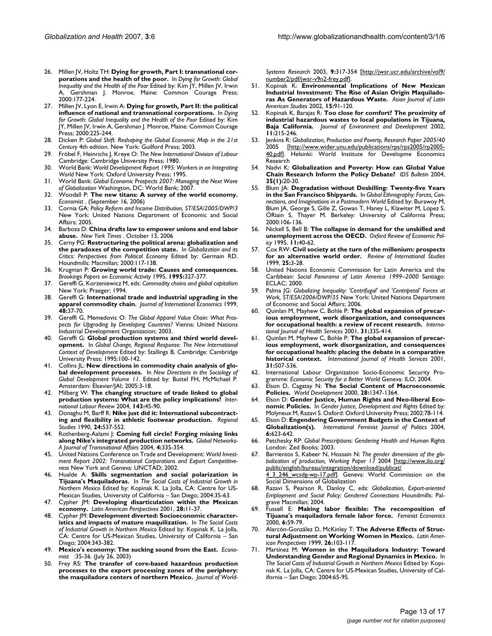- 26. Millen JV, Holtz TH: **Dying for growth, Part I: transnational corporations and the health of the poor.** In *Dying for Growth: Global Inequality and the Health of the Poor* Edited by: Kim JY, Millen JV, Irwin Gershman J. Monroe, Maine: Common Courage Press; 2000:177-224.
- 27. Millen JV, Lyon E, Irwin A: **Dying for growth, Part II: the political influence of national and transnational corporations.** In *Dying for Growth: Global Inequality and the Health of the Poor* Edited by: Kim JY, Millen JV, Irwin A, Gershman J. Monroe, Maine: Common Courage Press; 2000:225-244.
- 28. Dicken P: *Global Shift: Reshaping the Global Economic Map in the 21st Century* 4th edition. New York: Guilford Press; 2003.
- 29. Fröbel F, Heinrichs J, Kreye O: *The New International Division of Labour* Cambridge: Cambridge University Press; 1980.
- 30. World Bank: *World Development Report 1995: Workers in an Integrating World* New York: Oxford University Press; 1995.
- 31. World Bank: *Global Economic Prospects 2007: Managing the Next Wave of Globalization* Washington, DC: World Bank; 2007.
- 32. Woodall P: **The new titans: A survey of the world economy.** *Economist* . (September 16, 2006)
- 33. Cornia GA: *Policy Reform and Income Distribution, ST/ESA/2005/DWP/3* New York: United Nations Department of Economic and Social Affairs; 2005.
- 34. Barboza D: **China drafts law to empower unions and end labor abuse.** *New York Times* . October 13, 2006
- 35. Cerny PG: **Restructuring the political arena: globalization and the paradoxes of the competition state.** In *Globalization and its Critics: Perspectives from Political Economy* Edited by: Germain RD. Houndmills: Macmillan; 2000:117-138.
- 36. Krugman P: **Growing world trade: Causes and consequences.** *Brookings Papers on Economic Activity* 1995, **1995:**327-377.
- 37. Gereffi G, Korzeniewicz M, eds: *Commodity chains and global capitalism* New York: Praeger; 1994.
- 38. Gereffi G: **International trade and industrial upgrading in the apparel commodity chain.** *Journal of International Economics* 1999, **48:**37-70.
- 39. Gereffi G, Memedovic O: *The Global Apparel Value Chain: What Prospects for Upgrading by Developing Countries?* Vienna: United Nations Industrial Development Organization; 2003.
- 40. Gereffi G: **Global production systems and third world development.** In *Global Change, Regional Response: The New International Context of Development* Edited by: Stallings B. Cambridge: Cambridge University Press; 1995:100-142.
- 41. Collins JL: New directions in commodity chain analysis of glo**bal development processes.** In *New Directions in the Sociology of Global Development Volume 11*. Edited by: Buttel FH, McMichael P. Amsterdam: Elsevier/JAI; 2005:3-18.
- 42. Milberg W: **The changing structure of trade linked to global production systems: What are the policy implications?** *International Labour Review* 2004, **143:**45-90.
- 43. Donaghu M, Barff R: **Nike just did it: International subcontracting and flexibility in athletic footwear production.** *Regional Studies* 1990, **24:**537-552.
- 44. Rothenberg-Aalami J: **Coming full circle? Forging missing links along Nike's integrated production networks.** *Global Networks-A Journal of Transnational Affairs* 2004, **4:**335-354.
- 45. United Nations Conference on Trade and Development: *World Investment Report 2002: Transnational Corporations and Export Competitiveness* New York and Geneva: UNCTAD; 2002.
- 46. Hualde A: **Skills segmentation and social polarization in Tijuana's Maquiladoras.** In *The Social Costs of Industrial Growth in Northern Mexico* Edited by: Kopinak K. La Jolla, CA: Centre for US-Mexican Studies, University of California – San Diego; 2004:35-63.
- 47. Cypher JM: **Developing disarticulation within the Mexican economy.** *Latin American Perspectives* 2001, **28:**11-37.
- 48. Cypher JM: **Development diverted: Socioeconomic characteristics and impacts of mature maquilization.** In *The Social Costs of Industrial Growth in Northern Mexico* Edited by: Kopinak K. La Jolla, CA: Centre for US-Mexican Studies, University of California – San Diego; 2004:343-382.
- 49. **Mexico's economy: The sucking sound from the East.** *Economist* :35-36. (July 26, 2003)
- 50. Frey RS: **The transfer of core-based hazardous production processes to the export processing zones of the periphery: the maquiladora centers of northern Mexico.** *Journal of World-*

*Systems Research* 2003, **9:**317-354 [\[http://jwsr.ucr.edu/archive/vol9/](http://jwsr.ucr.edu/archive/vol9/number2/pdf/jwsr-v9n2-frey.pdf) [number2/pdf/jwsr-v9n2-frey.pdf\]](http://jwsr.ucr.edu/archive/vol9/number2/pdf/jwsr-v9n2-frey.pdf).

- 51. Kopinak K: **Environmental Implications of New Mexican Industrial Investment: The Rise of Asian Origin Maquiladoras As Generators of Hazardous Waste.** *Asian Journal of Latin American Studies* 2002, **15:**91-120.
- 52. Kopinak K, Barajas R: **Too close for comfort? The proximity of industrial hazardous wastes to local populations in Tijuana, Baja California.** *Journal of Environment and Development* 2002, **11:**215-246.
- 53. Jenkins R: *Globalization, Production and Poverty, Research Paper 2005/40* 2005 [[http://www.wider.unu.edu/publications/rps/rps2005/rp2005-](http://www.wider.unu.edu/publications/rps/rps2005/rp2005-40.pdf)<br>20.pdf]. Helsinki: World Institute for Developme Economics Helsinki: World Institute for Developme Economics Research
- 54. Nadvi K: **Globalization and Poverty: How can Global Value Chain Research Inform the Policy Debate?** *IDS Bulletin* 2004, **35(1):**20-30.
- 55. Blum JA: **Degradation without Deskilling: Twenty-five Years in the San Francisco Shipyards.** In *Global Ethnography: Forces, Connections, and Imaginations in a Postmodern World* Edited by: Burawoy M, Blum JA, George S, Gille Z, Gowan T, Haney L, Klawiter M, Lopez S, ÓRiain S, Thayer M. Berkeley: University of California Press; 2000:106-136.
- 56. Nickell S, Bell B: **The collapse in demand for the unskilled and unemployment across the OECD.** *Oxford Review of Economic Policy* 1995, **11:**40-62.
- 57. Cox RW: **Civil society at the turn of the millenium: prospects for an alternative world order.** *Review of International Studies* 1999, **25:**3-28.
- 58. United Nations Economic Commission for Latin America and the Caribbean: *Social Panorama of Latin America 1999–2000* Santiago: ECLAC; 2000.
- 59. Palma JG: *Globalizing Inequality: 'Centrifugal' and 'Centripetal' Forces at Work, ST/ESA/2006/DWP/35* New York: United Nations Department of Economic and Social Affairs; 2006.
- Quinlan M, Mayhew C, Bohle P: [The global expansion of precar](http://www.ncbi.nlm.nih.gov/entrez/query.fcgi?cmd=Retrieve&db=PubMed&dopt=Abstract&list_uids=11407174)**[ious employment, work disorganization, and consequences](http://www.ncbi.nlm.nih.gov/entrez/query.fcgi?cmd=Retrieve&db=PubMed&dopt=Abstract&list_uids=11407174) [for occupational health: a review of recent research.](http://www.ncbi.nlm.nih.gov/entrez/query.fcgi?cmd=Retrieve&db=PubMed&dopt=Abstract&list_uids=11407174)** *International Journal of Health Services* 2001, **31:**335-414.
- Quinlan M, Mayhew C, Bohle P: [The global expansion of precar](http://www.ncbi.nlm.nih.gov/entrez/query.fcgi?cmd=Retrieve&db=PubMed&dopt=Abstract&list_uids=11562003)**ious employment, work disorganization, and consequences [for occupational health: placing the debate in a comparative](http://www.ncbi.nlm.nih.gov/entrez/query.fcgi?cmd=Retrieve&db=PubMed&dopt=Abstract&list_uids=11562003) [historical context.](http://www.ncbi.nlm.nih.gov/entrez/query.fcgi?cmd=Retrieve&db=PubMed&dopt=Abstract&list_uids=11562003)** *International Journal of Health Services* 2001, **31:**507-536.
- 62. International Labour Organization Socio-Economic Security Programme: *Economic Security for a Better World* Geneva: ILO; 2004.
- 63. Elson D, Cagatay N: **The Social Content of Macroeconomic Policies.** *World Development* 2000, **28:**1347-1364.
- 64. Elson D: **Gender Justice, Human Rights and Neo-liberal Economic Policies.** In *Gender Justice, Development and Rights* Edited by: Molyneux M, Razavi S. Oxford: Oxford University Press; 2002:78-114.
- 65. Elson D: **Engendering Government Budgets in the Context of Globalization(s).** *International Feminist Journal of Politics* 2004, **6:**623-642.
- 66. Petchesky RP: *Global Prescriptions: Gendering Health and Human Rights* London: Zed Books; 2003.
- 67. Barrientos S, Kabeer N, Hossain N: *The gender dimensions of the globalization of production, Working Paper 17* 2004 [[http://www.ilo.org/](http://www.ilo.org/public/english/bureau/integration/download/publicat/4_3_246_wcsdg-wp-17.pdf) [public/english/bureau/integration/download/publicat/](http://www.ilo.org/public/english/bureau/integration/download/publicat/4_3_246_wcsdg-wp-17.pdf) [4\\_3\\_246\\_wcsdg-wp-17.pdf\]](http://www.ilo.org/public/english/bureau/integration/download/publicat/4_3_246_wcsdg-wp-17.pdf). Geneva: World Commission on the Social Dimensions of Globalization
- 68. Razavi S, Pearson R, Danloy C, eds: *Globalization, Export-oriented Employment and Social Policy: Gendered Connections* Houndmills: Palgrave Macmillan; 2004.
- 69. Fussell E: **Making labor flexible: The recomposition of Tijuana's maquiladora female labor force.** *Feminist Economics* 2000, **6:**59-79.
- Alarcón-González D, McKinley T: The Adverse Effects of Struc**tural Adjustment on Working Women in Mexico.** *Latin American Perspectives* 1999, **26:**103-117.
- 71. Martínez M: **Women in the Maquiladora Industry: Toward Understanding Gender and Regional Dynamics in Mexico.** In *The Social Costs of Industrial Growth in Northern Mexico* Edited by: Kopinak K. La Jolla, CA: Centre for US-Mexican Studies, University of California – San Diego; 2004:65-95.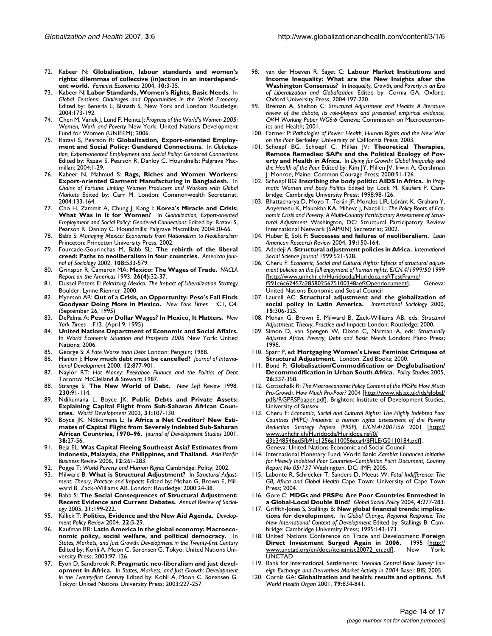- 72. Kabeer N: **Globalisation, labour standards and women's rights: dilemmas of collective (in)action in an interdependent world.** *Feminist Economics* 2004, **10:**3-35.
- Kabeer N: Labor Standards, Women's Rights, Basic Needs. In *Global Tensions: Challenges and Opportunities in the World Economy* Edited by: Beneria L, Bisnath S. New York and London: Routledge; 2004:173-192.
- 74. Chen M, Vanek J, Lund F, Heintz J: *Progress of the World's Women 2005: Women, Work and Poverty* New York: United Nations Development Fund for Women (UNIFEM); 2006.
- 75. Razavi S, Pearson R: **Globalization, Export-oriented Employment and Social Policy: Gendered Connections.** In *Globalization, Export-oriented Employment and Social Policy: Gendered Connections* Edited by: Razavi S, Pearson R, Danloy C. Houndmills: Palgrave Macmillan; 2004:1-29.
- 76. Kabeer N, Mahmud S: **Rags, Riches and Women Workers: Export-oriented Garment Manufacturing in Bangladesh.** In *Chains of Fortune: Linking Women Producers and Workers with Global Markets* Edited by: Carr M. London: Commonwealth Secretariat; 2004:133-164.
- 77. Cho H, Zammit A, Chung J, Kang I: **Korea's Miracle and Crisis: What Was in It for Women?** In *Globalization, Export-oriented Employment and Social Policy: Gendered Connections* Edited by: Razavi S, Pearson R, Danloy C. Houndmills: Palgrave Macmillan; 2004:30-66.
- 78. Babb S: *Managing Mexico: Economists from Nationalism to Neoliberalism* Princeton: Princeton University Press; 2002.
- 79. Fourcade-Gourinchas M, Babb SL: **The rebirth of the liberal creed: Paths to neoliberalism in four countries.** *American Journal of Sociology* 2002, **108:**533-579.
- 80. Grinspun R, Cameron MA: **Mexico: The Wages of Trade.** *NACLA Report on the Americas* 1993, **26(4):**32-37.
- 81. Dussel Peters E: *Polarizing Mexico: The Impact of Liberalization Strategy* Boulder: Lynne Rienner; 2000.
- 82. Myerson AR: **Out of a Crisis, an Opportunity: Peso's Fall Finds Goodyear Doing More in Mexico.** *New York Times* :C1, C4. (September 26, 1995)
- 83. DePalma A: **Peso or Dollar Wages? In Mexico, It Matters.** *New York Times* :F13. (April 9, 1995)
- 84. **United Nations Department of Economic and Social Affairs.** In *World Economic Situation and Prospects 2006* New York: United Nations; 2006.
- 85. George S: *A Fate Worse than Debt* London: Penguin; 1988.
- 86. Hanlon J: **How much debt must be cancelled?** *Journal of International Development* 2000, **12:**877-901.
- 87. Naylor RT: *Hot Money: Peekaboo Finance and the Politics of Debt* Toronto: McClelland & Stewart; 1987.
- 88. Strange S: **The New World of Debt.** *New Left Review* 1998, **230:**91-114.
- 89. Ndikumana L, Boyce JK: **Public Debts and Private Assets: Explaining Capital Flight from Sub-Saharan African Countries.** *World Development* 2003, **31:**107-130.
- 90. Boyce JK, Ndikumana L: **Is Africa a Net Creditor? New Estimates of Capital Flight from Severely Indebted Sub-Saharan African Countries, 1970–96.** *Journal of Development Studies* 2001, **38:**27-56.
- 91. Beja EL: **Was Capital Fleeing Southeast Asia? Estimates from Indonesia, Malaysia, the Philippines, and Thailand.** *Asia Pacific Business Review* 2006, **12:**261-283.
- 92. Pogge T: *World Poverty and Human Rights* Cambridge: Polity; 2002.
- 93. Milward B: **What is Structural Adjustment?** In *Structural Adjustment: Theory, Practice and Impacts* Edited by: Mohan G, Brown E, Milward B, Zack-Williams AB. London: Routledge; 2000:24-38.
- 94. Babb S: **The Social Consequences of Structural Adjustment: Recent Evidence and Current Debates.** *Annual Review of Sociology* 2005, **31:**199-222.
- 95. Killick T: **Politics, Evidence and the New Aid Agenda.** *Development Policy Review* 2004, **22:**5-29.
- 96. Kaufman RR: **Latin America in the global economy: Macroeconomic policy, social welfare, and political democracy.** In *States, Markets, and Just Growth: Development in the Twenty-first Century* Edited by: Kohli A, Moon C, Sørensen G. Tokyo: United Nations University Press; 2003:97-126.
- 97. Eyoh D, Sandbrook R: **Pragmatic neo-liberalism and just development in Africa.** In *States, Markets, and Just Growth: Development in the Twenty-first Century* Edited by: Kohli A, Moon C, Sørensen G. Tokyo: United Nations University Press; 2003:227-257.
- 98. van der Hoeven R, Saget C: **Labour Market Institutions and Income Inequality: What are the New Insights after the Washington Consensus?** In *Inequality, Growth, and Poverty in an Era of Liberalization and Globalization* Edited by: Cornia GA. Oxford: Oxford University Press; 2004:197-220.
- 99. Breman A, Shelton C: *Structural Adjustment and Health: A literature review of the debate, its role-players and presented empirical evidence, CMH Working Paper WG6:6* Geneva: Commission on Macroeconomics and Health; 2001.
- 100. Farmer P: *Pathologies of Power: Health, Human Rights and the New War on the Poor* Berkeley: University of California Press; 2003.
- 101. Schoepf BG, Schoepf C, Millen JV: **Theoretical Therapies, Remote Remedies: SAPs and the Political Ecology of Poverty and Health in Africa.** In *Dying for Growth: Global Inequality and the Health of the Poor* Edited by: Kim JY, Millen JV, Irwin A, Gershman J. Monroe, Maine: Common Courage Press; 2000:91-126.
- 102. Schoepf BG: **Inscribing the body politic: AIDS in Africa.** In *Pragmatic Women and Body Politics* Edited by: Lock M, Kaufert P. Cambridge: Cambridge University Press; 1998:98-126.
- 103. Bhattacharya D, Moyo T, Terán JF, Morales LIR, Lóránt K, Graham Y, Anyemedu K, Makokha KA, Mihevc J, Nacpil L: *The Policy Roots of Economic Crisis and Poverty: A Multi-Country Participatory Assessment of Structural Adjustment* Washington, DC: Structural Participatory Review International Network (SAPRIN) Secretariat; 2002.
- 104. Huber E, Solt F: **Successes and failures of neoliberalism.** *Latin American Research Review* 2004, **39:**150-164.
- 105. Adedeji A: **Structural adjustment policies in Africa.** *International Social Science Journal* 1999:521-528.
- 106. Cheru F: *Economic, Social and Cultural Rights: Effects of structural adjustment policies on the full enjoyment of human rights, E/CN.4/1999/50* 1999 [[http://www.unhchr.ch/Huridocda/Huridoca.nsf/TestFrame/](http://www.unhchr.ch/Huridocda/Huridoca.nsf/TestFrame/f991c6c62457a2858025675100348aef?Opendocument) [f991c6c62457a2858025675100348aef?Opendocument](http://www.unhchr.ch/Huridocda/Huridoca.nsf/TestFrame/f991c6c62457a2858025675100348aef?Opendocument)]. Geneva: United Nations Economic and Social Council
- 107. Laurell AC: **Structural adjustment and the globalization of social policy in Latin America.** *International Sociology* 2000, **15:**306-325.
- 108. Mohan G, Brown E, Milward B, Zack-Williams AB, eds: *Structural Adjustment: Theory, Practice and Impacts* London: Routledge; 2000.
- 109. Simon D, van Spengen W, Dixon C, Närman A, eds: *Structurally Adjusted Africa: Poverty, Debt and Basic Needs* London: Pluto Press; 1995.
- 110. Sparr P, ed: **Mortgaging Women's Lives: Feminist Critiques of Structural Adjustment.** London: Zed Books; 2000.
- 111. Bond P: **Globalisation/Commodification or Deglobalisation/ Decommodification in Urban South Africa.** *Policy Studies* 2005, **26:**337-358.
- 112. Gottschalk R: *The Macroeconomic Policy Content of the PRSPs: How Much Pro-Growth, How Much Pro-Poor?* 2004 [[http://www.ids.ac.uk/ids/global/](http://www.ids.ac.uk/ids/global/pdfs/RGPRSPpaper.pdf) [pdfs/RGPRSPpaper.pdf](http://www.ids.ac.uk/ids/global/pdfs/RGPRSPpaper.pdf)]. Brighton: Institute of Development Studies, University of Sussex
- 113. Cheru F: *Economic, Social and Cultural Rights: The Highly Indebted Poor Countries (HIPC) Initiative: a human rights assessment of the Poverty Reduction Strategy Papers (PRSP), E/CN.4/2001/56* 2001 [\[http://](http://www.unhchr.ch/Huridocda/Huridoca.nsf/0/d3b348546ad5fb91c1256a110056aca4/$FILE/G0110184.pdf) [www.unhchr.ch/Huridocda/Huridoca.nsf/0/](http://www.unhchr.ch/Huridocda/Huridoca.nsf/0/d3b348546ad5fb91c1256a110056aca4/$FILE/G0110184.pdf) [d3b348546ad5fb91c1256a110056aca4/\\$FILE/G0110184.pdf](http://www.unhchr.ch/Huridocda/Huridoca.nsf/0/d3b348546ad5fb91c1256a110056aca4/$FILE/G0110184.pdf)]. Geneva: United Nations Economic and Social Council
- 114. International Monetary Fund, World Bank: *Zambia: Enhanced Initiative for Heavily Indebted Poor Countries–Completion Point Document, Country Report No 05/137* Washington, DC: IMF; 2005.
- 115. Labonte R, Schrecker T, Sanders D, Meeus W: *Fatal Indifference: The G8, Africa and Global Health* Cape Town: University of Cape Town Press; 2004.
- 116. Gore C: **MDGs and PRSPs: Are Poor Countries Enmeshed in a Global-Local Double Bind?** *Global Social Policy* 2004, **4:**277-283.
- 117. Griffith-Jones S, Stallings B: **New global financial trends: implications for development.** In *Global Change, Regional Response: The New International Context of Development* Edited by: Stallings B. Cambridge: Cambridge University Press; 1995:143-173.
- 118. United Nations Conference on Trade and Development: **Foreign** Direct Investment Surged Again in 2006. [www.unctad.org/en/docs/iteiiamisc20072\\_en.pdf](http://www.unctad.org/en/docs/iteiiamisc20072_en.pdf)]. New York: UNCTAD
- 119. Bank for International, Settlements: *Triennial Central Bank Survey: Foreign Exchange and Derivatives Market Activity in 2004* Basel: BIS; 2005.
- 120. Cornia GA: **[Globalization and health: results and options.](http://www.ncbi.nlm.nih.gov/entrez/query.fcgi?cmd=Retrieve&db=PubMed&dopt=Abstract&list_uids=11584731)** *Bull World Health Organ* 2001, **79:**834-841.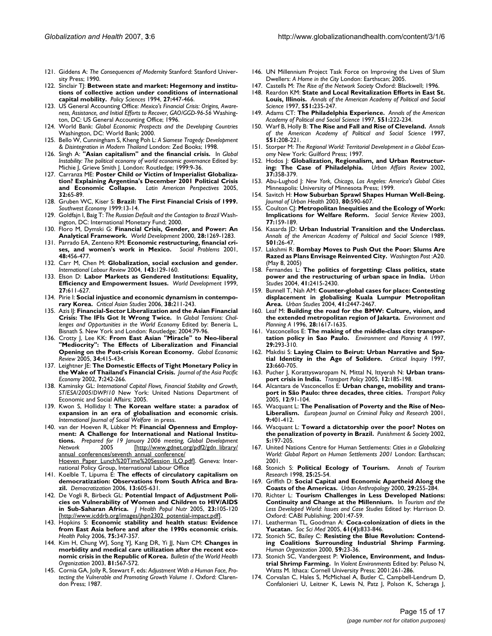- 121. Giddens A: *The Consequences of Modernity* Stanford: Stanford University Press; 1990.
- 122. Sinclair TJ: **Between state and market: Hegemony and institutions of collective action under conditions of international capital mobility.** *Policy Sciences* 1994, **27:**447-466.
- 123. US General Accounting Office: *Mexico's Financial Crisis: Origins, Awareness, Assistance, and Initial Efforts to Recover, GAO/GGD-96-56* Washington, DC: US General Accounting Office; 1996.
- 124. World Bank: *Global Economic Prospects and the Developing Countries* Washington, DC: World Bank; 2000.
- 125. Bello W, Cunningham S, Kheng Poh L: *A Siamese Tragedy: Development & Disintegration in Modern Thailand* London: Zed Books; 1998.
- 126. Singh A: **"Asian capitalism" and the financial crisis.** In *Global Instability: The political economy of world economic governance* Edited by: Michie J, Grieve Smith J. London: Routledge; 1999:9-36.
- 127. Carranza ME: **Poster Child or Victim of Imperialist Globalization? Explaining Argentina's December 2001 Political Crisis and Economic Collapse.** *Latin American Perspectives* 2005, **32:**65-89.
- 128. Gruben WC, Kiser S: **Brazil: The First Financial Crisis of 1999.** *Southwest Economy* 1999:13-14.
- 129. Goldfajn I, Baig T: *The Russian Default and the Contagion to Brazil* Washington, DC: International Monetary Fund; 2000.
- 130. Floro M, Dymski G: **Financial Crisis, Gender, and Power: An Analytical Framework.** *World Development* 2000, **28:**1269-1283.
- 131. Parrado EA, Zenteno RM: **Economic restructuring, financial crises, and women's work in Mexico.** *Social Problems* 2001, **48:**456-477.
- 132. Carr M, Chen M: **Globalization, social exclusion and gender.** *International Labour Review* 2004, **143:**129-160.
- 133. Elson D: **Labor Markets as Gendered Institutions: Equality, Efficiency and Empowerment Issues.** *World Development* 1999, **27:**611-627.
- 134. Pirie I: **Social injustice and economic dynamism in contemporary Korea.** *Critical Asian Studies* 2006, **38:**211-243.
- 135. Azis IJ: **Financial-Sector Liberalization and the Asian Financial Crisis: The IFIs Got It Wrong Twice.** In *Global Tensions: Challenges and Opportunities in the World Economy* Edited by: Beneria L, Bisnath S. New York and London: Routledge; 2004:79-96.
- 136. Crotty J, Lee KK: **From East Asian "Miracle" to Neo-liberal "Mediocrity": The Effects of Liberalization and Financial Opening on the Post-crisis Korean Economy.** *Global Economic Review* 2005, **34:**415-434.
- 137. Leightner JE: **The Domestic Effects of Tight Monetary Policy in the Wake of Thailand's Financial Crisis.** *Journal of the Asia Pacific Economy* 2002, **7:**242-266.
- 138. Kaminsky GL: *International Capital Flows, Financial Stability and Growth, ST/ESA/2005/DWP/10* New York: United Nations Department of Economic and Social Affairs; 2005.
- 139. Kwon S, Holliday I: **The Korean welfare state: a paradox of expansion in an era of globalisation and economic crisis.** *International Journal of Social Welfare* in press.
- 140. van der Hoeven R, Lübker M: **Financial Openness and Employment: A Challenge for International and National Institutions.** *Prepared for 19 January 2006 meeting, Global Development* [[http://www.gdnet.org/pdf2/gdn\\_library/](http://www.gdnet.org/pdf2/gdn_library/annual_conferences/seventh_annual_conference/Hoeven_Paper_Lunch%20Time%20Session_ILO.pdf) [annual\\_conferences/seventh\\_annual\\_conference/](http://www.gdnet.org/pdf2/gdn_library/annual_conferences/seventh_annual_conference/Hoeven_Paper_Lunch%20Time%20Session_ILO.pdf) Hoeven Paper Lunch%20Time%20Session ILO.pdf]. Geneva: International Policy Group, International Labour Office
- 141. Koelble T, Lipuma E: **The effects of circulatory capitalism on democratization: Observations from South Africa and Brazil.** *Democratization* 2006, **13:**605-631.
- 142. De Vogli R, Birbeck GL: **[Potential Impact of Adjustment Poli](http://www.ncbi.nlm.nih.gov/entrez/query.fcgi?cmd=Retrieve&db=PubMed&dopt=Abstract&list_uids=16117362)[cies on Vulnerability of Women and Children to HIV/AIDS](http://www.ncbi.nlm.nih.gov/entrez/query.fcgi?cmd=Retrieve&db=PubMed&dopt=Abstract&list_uids=16117362) [in Sub-Saharan Africa.](http://www.ncbi.nlm.nih.gov/entrez/query.fcgi?cmd=Retrieve&db=PubMed&dopt=Abstract&list_uids=16117362)** *J Health Popul Nutr* 2005, **23:**105-120 [[http://www.icddrb.org/images/jhpn2302\\_potential-impact.pdf\]](http://www.icddrb.org/images/jhpn2302_potential-impact.pdf).
- 143. Hopkins S: **[Economic stability and health status: Evidence](http://www.ncbi.nlm.nih.gov/entrez/query.fcgi?cmd=Retrieve&db=PubMed&dopt=Abstract&list_uids=15896870) [from East Asia before and after the 1990s economic crisis.](http://www.ncbi.nlm.nih.gov/entrez/query.fcgi?cmd=Retrieve&db=PubMed&dopt=Abstract&list_uids=15896870)** *Health Policy* 2006, **75:**347-357.
- 144. Kim H, Chung WJ, Song YJ, Kang DR, Yi JJ, Nam CM: **[Changes in](http://www.ncbi.nlm.nih.gov/entrez/query.fcgi?cmd=Retrieve&db=PubMed&dopt=Abstract&list_uids=14576888) [morbidity and medical care utilization after the recent eco](http://www.ncbi.nlm.nih.gov/entrez/query.fcgi?cmd=Retrieve&db=PubMed&dopt=Abstract&list_uids=14576888)[nomic crisis in the Republic of Korea.](http://www.ncbi.nlm.nih.gov/entrez/query.fcgi?cmd=Retrieve&db=PubMed&dopt=Abstract&list_uids=14576888)** *Bulletin of the World Health Organization* 2003, **81:**567-572.
- 145. Cornia GA, Jolly R, Stewart F, eds: *Adjustment With a Human Face, Protecting the Vulnerable and Promoting Growth Volume 1*. Oxford: Clarendon Press; 1987.
- 146. UN Millennium Project Task Force on Improving the Lives of Slum Dwellers: *A Home in the City* London: Earthscan; 2005.
- 147. Castells M: *The Rise of the Network Society* Oxford: Blackwell; 1996.
- 148. Reardon KM: **State and Local Revitalization Efforts in East St. Louis, Illinois.** *Annals of the American Academy of Political and Social Science* 1997, **551:**235-247.
- 149. Adams CT: **The Philadelphia Experience.** *Annals of the American Academy of Political and Social Science* 1997, **551:**222-234.
- 150. Warf B, Holly B: **The Rise and Fall and Rise of Cleveland.** *Annals of the American Academy of Political and Social Science* 1997, **551:**208-221.
- 151. Storper M: *The Regional World: Territorial Development in a Global Economy* New York: Guilford Press; 1997.
- 152. Hodos J: Globalization, Regionalism, and Urban Restructur**ing: The Case of Philadelphia.** *Urban Affairs Review* 2002, **37:**358-379.
- 153. Abu-Lughod J: *New York, Chicago, Los Angeles: America's Global Cities* Minneapolis: University of Minnesota Press; 1999.
- 154. Savitch H: **[How Suburban Sprawl Shapes Human Well-Being.](http://www.ncbi.nlm.nih.gov/entrez/query.fcgi?cmd=Retrieve&db=PubMed&dopt=Abstract&list_uids=14709707)** *Journal of Urban Health* 2003, **80:**590-607.
- 155. Coulton CJ: **Metropolitan Inequities and the Ecology of Work: Implications for Welfare Reform.** *Social Service Review* 2003, **77:**159-189.
- 156. Kasarda JD: **Urban Industrial Transition and the Underclass.** *Annals of the American Academy of Political and Social Science* 1989, **501:**26-47.
- 157. Lakshmi R: **Bombay Moves to Push Out the Poor: Slums Are Razed as Plans Envisage Reinvented City.** *Washington Post* :A20. (May 8, 2005)
- 158. Fernandes L: **The politics of forgetting: Class politics, state power and the restructuring of urban space in India.** *Urban Studies* 2004, **41:**2415-2430.
- 159. Bunnell T, Nah AM: **Counter-global cases for place: Contesting displacement in globalising Kuala Lumpur Metropolitan Area.** *Urban Studies* 2004, **41:**2447-2467.
- 160. Leaf M: **Building the road for the BMW: Culture, vision, and the extended metropolitan region of Jakarta.** *Environment and Planning A* 1996, **28:**1617-1635.
- 161. Vasconcellos E: **The making of the middle-class city: transportation policy in Sao Paulo.** *Environment and Planning A* 1997, **29:**293-310.
- 162. Makdisi S: **Laying Claim to Beirut: Urban Narrative and Spatial Identity in the Age of Solidere.** *Critical Inquiry* 1997, **23:**660-705.
- 163. Pucher J, Korattyswaropam N, Mittal N, Ittyerah N: **Urban transport crisis in India.** *Transport Policy* 2005, **12:**185-198.
- 164. Alcantara de Vasconcellos E: **Urban change, mobility and transport in São Paulo: three decades, three cities.** *Transport Policy* 2005, **12:**91-104.
- 165. Wacquant L: **The Penalisation of Poverty and the Rise of Neo-Liberalism.** *European Journal on Criminal Policy and Research* 2001, **9:**401-412.
- 166. Wacquant L: **Toward a dictatorship over the poor? Notes on the penalization of poverty in Brazil.** *Punishment & Society* 2002, **5:**197-205.
- 167. United Nations Centre for Human Settlements: *Cities in a Globalizing World: Global Report on Human Settlements 2001* London: Earthscan; 2001.
- 168. Stonich S: **Political Ecology of Tourism.** *Annals of Tourism Research* 1998, **25:**25-54.
- 169. Griffith D: **Social Capital and Economic Apartheid Along the Coasts of the Americas.** *Urban Anthropology* 2000, **29:**255-284.
- 170. Richter L: **Tourism Challenges in Less Developed Nations: Continuity and Change at the Millennium.** In *Tourism and the Less Developed World: Issues and Case Studies* Edited by: Harrison D. Oxford: CABI Publishing; 2001:47-59.
- 171. Leatherman TL, Goodman A: **[Coca-colonization of diets in the](http://www.ncbi.nlm.nih.gov/entrez/query.fcgi?cmd=Retrieve&db=PubMed&dopt=Abstract&list_uids=15950095) [Yucatan.](http://www.ncbi.nlm.nih.gov/entrez/query.fcgi?cmd=Retrieve&db=PubMed&dopt=Abstract&list_uids=15950095)** *Soc Sci Med* 2005, **61(4):**833-846.
- 172. Stonich SC, Bailey C: **Resisting the Blue Revolution: Contending Coalitions Surrounding Industrial Shrimp Farming.** *Human Organization* 2000, **59:**23-36.
- 173. Stonich SC, Vandergeest P: **Violence, Environment, and Industrial Shrimp Farming.** In *Violent Environments* Edited by: Peluso N, Watts M. Ithaca: Cornell University Press; 2001:261-286.
- 174. Corvalan C, Hales S, McMichael A, Butler C, Campbell-Lendrum D, Confalonieri U, Leitner K, Lewis N, Patz J, Polson K, Scheraga J,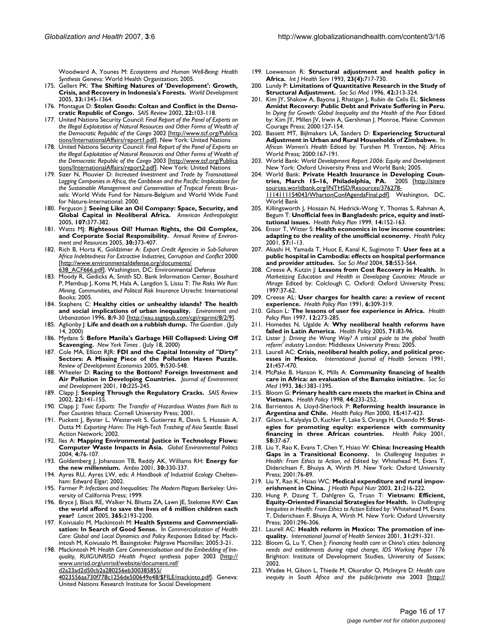Woodward A, Younes M: *Ecosystems and Human Well-Being: Health Synthesis* Geneva: World Health Organization; 2005.

- 175. Gellert PK: **The Shifting Natures of 'Development': Growth, Crisis, and Recovery in Indonesia's Forests.** *World Development* 2005, **33:**1345-1364.
- 176. Montague D: **Stolen Goods: Coltan and Conflict in the Democratic Republic of Congo.** *SAIS Review* 2002, **22:**103-118.
- 177. United Nations Security Council: *Final Report of the Panel of Experts on the Illegal Exploitation of Natural Resources and Other Forms of Wealth of the Democratic Republic of the Congo* 2002 [[http://www.tcf.org/Publica](http://www.tcf.org/Publications/InternationalAffairs/report1.pdf) [tions/InternationalAffairs/report1.pdf](http://www.tcf.org/Publications/InternationalAffairs/report1.pdf)]. New York: United Nations
- 178. United Nations Security Council: *Final Report of the Panel of Experts on the Illegal Exploitation of Natural Resources and Other Forms of Wealth of the Democratic Republic of the Congo* 2003 [[http://www.tcf.org/Publica](http://www.tcf.org/Publications/InternationalAffairs/report2.pdf) [tions/InternationalAffairs/report2.pdf](http://www.tcf.org/Publications/InternationalAffairs/report2.pdf)]. New York: United Nations
- 179. Sizer N, Plouvier D: *Increased Investment and Trade by Transnational Logging Companies in Africa, the Caribbean and the Pacific: Implications for the Sustainable Management and Conservation of Tropical Forests* Brussels: World Wide Fund for Nature-Belgium and World Wide Fund for Nature-International; 2000.
- 180. Ferguson J: **Seeing Like an Oil Company: Space, Security, and Global Capital in Neoliberal Africa.** *American Anthropologist* 2005, **107:**377-382.
- 181. Watts MJ: **Righteous Oil? Human Rights, the Oil Complex, and Corporate Social Responsibility.** *Annual Review of Environment and Resources* 2005, **30:**373-407.
- 182. Rich B, Horta K, Goldzimer A: *Export Credit Agencies in Sub-Saharan Africa Indebtedness For Extractive Industries, Corruption and Conflict* 2000 [[http://www.environmentaldefense.org/documents/](http://www.environmentaldefense.org/documents/638_ACF666.pdf) [638\\_ACF666.pdf\]](http://www.environmentaldefense.org/documents/638_ACF666.pdf). Washington, DC: Environmental Defense
- 183. Moody R, Gedicks A, Smith SD, Bank Information Center, Bosshard P, Membup J, Koma M, Hala A, Langdon S, Lissu T: *The Risks We Run: Mining, Communities, and Political Risk Insurance* Utrecht: International
- Books; 2005. 184. Stephens C: **Healthy cities or unhealthy islands? The health and social implications of urban inequality.** *Environment and Urbanization* 1996, **8:**9-30 [\[http://eau.sagepub.com/cgi/reprint/8/2/9\]](http://eau.sagepub.com/cgi/reprint/8/2/9).
- 185. Aglionby J: **Life and death on a rubbish dump.** *The Guardian* . (July 14, 2000)
- 186. Mydans S: **Before Manila's Garbage Hill Collapsed: Living Off Scavenging.** *New York Times* . (July 18, 2000)
- 187. Cole MA, Elliott RJR: **FDI and the Capital Intensity of "Dirty" Sectors: A Missing Piece of the Pollution Haven Puzzle.** *Review of Development Economics* 2005, **9:**530-548.
- 188. Wheeler D: **Racing to the Bottom? Foreign Investment and Air Pollution in Developing Countries.** *Journal of Environment and Development* 2001, **10:**225-245.
- 189. Clapp J: **Seeping Through the Regulatory Cracks.** *SAIS Review* 2002, **22:**141-155.
- 190. Clapp J: *Toxic Exports: The Transfer of Hazardous Wastes from Rich to Poor Countries* Ithaca: Cornell University Press; 2001.
- 191. Puckett J, Byster L, Westervelt S, Gutierrez R, Davis S, Hussain A, Dutta M: *Exporting Harm: The High-Tech Trashing of Asia* Seattle: Basel Action Network; 2002.
- 192. Iles A: **Mapping Environmental Justice in Technology Flows: Computer Waste Impacts in Asia.** *Global Environmental Politics* 2004, **4:**76-107.
- 193. Goldemberg J, Johansson TB, Reddy AK, Williams RH: **[Energy for](http://www.ncbi.nlm.nih.gov/entrez/query.fcgi?cmd=Retrieve&db=PubMed&dopt=Abstract&list_uids=11757280) [the new millennium.](http://www.ncbi.nlm.nih.gov/entrez/query.fcgi?cmd=Retrieve&db=PubMed&dopt=Abstract&list_uids=11757280)** *Ambio* 2001, **30:**330-337.
- 194. Ayres RU, Ayres LW, eds: *A Handbook of Industrial Ecology* Cheltenham: Edward Elgar; 2002.
- 195. Farmer P: *Infections and Inequalities: The Modern Plagues* Berkeley: University of California Press; 1999.
- 196. Bryce J, Black RE, Walker N, Bhutta ZA, Lawn JE, Steketee RW: **[Can](http://www.ncbi.nlm.nih.gov/entrez/query.fcgi?cmd=Retrieve&db=PubMed&dopt=Abstract&list_uids=15978927) [the world afford to save the lives of 6 million children each](http://www.ncbi.nlm.nih.gov/entrez/query.fcgi?cmd=Retrieve&db=PubMed&dopt=Abstract&list_uids=15978927) [year?](http://www.ncbi.nlm.nih.gov/entrez/query.fcgi?cmd=Retrieve&db=PubMed&dopt=Abstract&list_uids=15978927)** *Lancet* 2005, **365:**2193-2200.
- 197. Koivusalo M, Mackintosh M: **Health Systems and Commercialisation: In Search of Good Sense.** In *Commercialization of Health Care: Global and Local Dynamics and Policy Responses* Edited by: Mackintosh M, Koivusalo M. Basingstoke: Palgrave Macmillan; 2005:3-21.
- 198. Mackintosh M: *Health Care Commercialisation and the Embedding of Inequality, RUIG/UNRISD Health Project synthesis paper* 2003 [[http://](http://www.unrisd.org/unrisd/website/document.nsf/d2a23ad2d50cb2a280256eb300385855/4023556aa730f778c1256de500649e48/$FILE/mackinto.pdf) [www.unrisd.org/unrisd/website/document.nsf/](http://www.unrisd.org/unrisd/website/document.nsf/d2a23ad2d50cb2a280256eb300385855/4023556aa730f778c1256de500649e48/$FILE/mackinto.pdf)

d2a23ad2d50cb2a280256eb300385855/

[4023556aa730f778c1256de500649e48/\\$FILE/mackinto.pdf](http://www.unrisd.org/unrisd/website/document.nsf/d2a23ad2d50cb2a280256eb300385855/4023556aa730f778c1256de500649e48/$FILE/mackinto.pdf)]. Geneva: United Nations Research Institute for Social Development

- 199. Loewenson R: **[Structural adjustment and health policy in](http://www.ncbi.nlm.nih.gov/entrez/query.fcgi?cmd=Retrieve&db=PubMed&dopt=Abstract&list_uids=8276531) [Africa.](http://www.ncbi.nlm.nih.gov/entrez/query.fcgi?cmd=Retrieve&db=PubMed&dopt=Abstract&list_uids=8276531)** *Int J Health Serv* 1993, **23(4):**717-730.
- 200. Lundy P: **[Limitations of Quantitative Research in the Study of](http://www.ncbi.nlm.nih.gov/entrez/query.fcgi?cmd=Retrieve&db=PubMed&dopt=Abstract&list_uids=8658227) [Structural Adjustment.](http://www.ncbi.nlm.nih.gov/entrez/query.fcgi?cmd=Retrieve&db=PubMed&dopt=Abstract&list_uids=8658227)** *Soc Sci Med* 1996, **42:**313-324.
- 201. Kim JY, Shakow A, Bayona J, Rhatigan J, Rubin de Celis EL: **Sickness Amidst Recovery: Public Debt and Private Suffering in Peru.** In *Dying for Growth: Global Inequality and the Health of the Poor* Edited by: Kim JY, Millen JV, Irwin A, Gershman J. Monroe, Maine: Common Courage Press; 2000:127-154.
- 202. Bassett MT, Bijlmakers LA, Sanders D: **Experiencing Structural Adjustment in Urban and Rural Households of Zimbabwe.** In *African Women's Health* Edited by: Turshen M. Trenton, NJ: Africa World Press; 2000:167-191.
- 203. World Bank: *World Development Report 2006: Equity and Development* New York: Oxford University Press and World Bank; 2005.
- 204. World Bank: **Private Health Insurance in Developing Countries, March 15–16, Philadelphia, PA.** 2005 [\[http://sitere](http://siteresources.worldbank.org/INTHSD/Resources/376278-1114111154043/WhartonConfAgendaFinal.pdf) [sources.worldbank.org/INTHSD/Resources/376278-](http://siteresources.worldbank.org/INTHSD/Resources/376278-1114111154043/WhartonConfAgendaFinal.pdf) [1114111154043/WhartonConfAgendaFinal.pdf\]](http://siteresources.worldbank.org/INTHSD/Resources/376278-1114111154043/WhartonConfAgendaFinal.pdf). Washington, DC, World Bank
- 205. Killingsworth J, Hossain N, Hedrick-Wong Y, Thomas S, Rahman A, Begum T: **[Unofficial fees in Bangladesh: price, equity and insti](http://www.ncbi.nlm.nih.gov/entrez/query.fcgi?cmd=Retrieve&db=PubMed&dopt=Abstract&list_uids=10538718)[tutional issues.](http://www.ncbi.nlm.nih.gov/entrez/query.fcgi?cmd=Retrieve&db=PubMed&dopt=Abstract&list_uids=10538718)** *Health Policy Plan* 1999, **14:**152-163.
- 206. Ensor T, Witter S: **[Health economics in low income countries:](http://www.ncbi.nlm.nih.gov/entrez/query.fcgi?cmd=Retrieve&db=PubMed&dopt=Abstract&list_uids=11348690) [adapting to the reality of the unofficial economy.](http://www.ncbi.nlm.nih.gov/entrez/query.fcgi?cmd=Retrieve&db=PubMed&dopt=Abstract&list_uids=11348690)** *Health Policy* 2001, **57:**1-13.
- 207. Akashi H, Yamada T, Huot E, Kanal K, Sugimoto T: **[User fees at a](http://www.ncbi.nlm.nih.gov/entrez/query.fcgi?cmd=Retrieve&db=PubMed&dopt=Abstract&list_uids=14652051) [public hospital in Cambodia: effects on hospital performance](http://www.ncbi.nlm.nih.gov/entrez/query.fcgi?cmd=Retrieve&db=PubMed&dopt=Abstract&list_uids=14652051) [and provider attitudes.](http://www.ncbi.nlm.nih.gov/entrez/query.fcgi?cmd=Retrieve&db=PubMed&dopt=Abstract&list_uids=14652051)** *Soc Sci Med* 2004, **58:**553-564.
- 208. Creese A, Kutzin J: **Lessons from Cost Recovery in Health.** In *Marketizing Education and Health in Developing Countries: Miracle or Mirage* Edited by: Colclough C. Oxford: Oxford University Press; 1997:37-62.
- 209. Creese AL: **[User charges for health care: a review of recent](http://www.ncbi.nlm.nih.gov/entrez/query.fcgi?cmd=Retrieve&db=PubMed&dopt=Abstract&list_uids=10115978) [experience.](http://www.ncbi.nlm.nih.gov/entrez/query.fcgi?cmd=Retrieve&db=PubMed&dopt=Abstract&list_uids=10115978)** *Health Policy Plan* 1991, **6:**309-319.
- 210. Gilson L: **[The lessons of user fee experience in Africa.](http://www.ncbi.nlm.nih.gov/entrez/query.fcgi?cmd=Retrieve&db=PubMed&dopt=Abstract&list_uids=10176263)** *Health Policy Plan* 1997, **12:**273-285.
- 211. Homedes N, Ugalde A: **[Why neoliberal health reforms have](http://www.ncbi.nlm.nih.gov/entrez/query.fcgi?cmd=Retrieve&db=PubMed&dopt=Abstract&list_uids=15563995) [failed in Latin America.](http://www.ncbi.nlm.nih.gov/entrez/query.fcgi?cmd=Retrieve&db=PubMed&dopt=Abstract&list_uids=15563995)** *Health Policy* 2005, **71:**83-96.
- 212. Lister J: *Driving the Wrong Way? A critical guide to the global 'health reform' industry* London: Middlesex University Press; 2005.
- 213. Laurell AC: **[Crisis, neoliberal health policy, and political proc](http://www.ncbi.nlm.nih.gov/entrez/query.fcgi?cmd=Retrieve&db=PubMed&dopt=Abstract&list_uids=1917206)[esses in Mexico.](http://www.ncbi.nlm.nih.gov/entrez/query.fcgi?cmd=Retrieve&db=PubMed&dopt=Abstract&list_uids=1917206)** *International Journal of Health Services* 1991, **21:**457-470.
- 214. McPake B, Hanson K, Mills A: **[Community financing of health](http://www.ncbi.nlm.nih.gov/entrez/query.fcgi?cmd=Retrieve&db=PubMed&dopt=Abstract&list_uids=8511627) [care in Africa: an evaluation of the Bamako initiative.](http://www.ncbi.nlm.nih.gov/entrez/query.fcgi?cmd=Retrieve&db=PubMed&dopt=Abstract&list_uids=8511627)** *Soc Sci Med* 1993, **36:**1383-1395.
- 215. Bloom G: **[Primary health care meets the market in China and](http://www.ncbi.nlm.nih.gov/entrez/query.fcgi?cmd=Retrieve&db=PubMed&dopt=Abstract&list_uids=10182295) [Vietnam.](http://www.ncbi.nlm.nih.gov/entrez/query.fcgi?cmd=Retrieve&db=PubMed&dopt=Abstract&list_uids=10182295)** *Health Policy* 1998, **44:**233-252.
- 216. Barrientos A, Lloyd-Sherlock P: **[Reforming health insurance in](http://www.ncbi.nlm.nih.gov/entrez/query.fcgi?cmd=Retrieve&db=PubMed&dopt=Abstract&list_uids=11124245) [Argentina and Chile.](http://www.ncbi.nlm.nih.gov/entrez/query.fcgi?cmd=Retrieve&db=PubMed&dopt=Abstract&list_uids=11124245)** *Health Policy Plan* 2000, **15:**417-423.
- 217. Gilson L, Kalyalya D, Kuchler F, Lake S, Oranga H, Ouendo M: **[Strat](http://www.ncbi.nlm.nih.gov/entrez/query.fcgi?cmd=Retrieve&db=PubMed&dopt=Abstract&list_uids=11518601)[egies for promoting equity: experience with community](http://www.ncbi.nlm.nih.gov/entrez/query.fcgi?cmd=Retrieve&db=PubMed&dopt=Abstract&list_uids=11518601) [financing in three African countries.](http://www.ncbi.nlm.nih.gov/entrez/query.fcgi?cmd=Retrieve&db=PubMed&dopt=Abstract&list_uids=11518601)** *Health Policy* 2001, **58:**37-67.
- 218. Liu Y, Rao K, Evans T, Chen Y, Hsiao W: **China: Increasing Health Gaps in a Transitional Economy.** In *Challenging Inequities in Health: From Ethics to Action, ed* Edited by: Whitehead M, Evans T, Diderichsen F, Bhuiya A, Wirth M. New York: Oxford University Press; 2001:76-89.
- 219. Liu Y, Rao K, Hsiao WC: **[Medical expenditure and rural impov](http://www.ncbi.nlm.nih.gov/entrez/query.fcgi?cmd=Retrieve&db=PubMed&dopt=Abstract&list_uids=14717567)[erishment in China.](http://www.ncbi.nlm.nih.gov/entrez/query.fcgi?cmd=Retrieve&db=PubMed&dopt=Abstract&list_uids=14717567)** *J Health Popul Nutr* 2003, **21:**216-222.
- 220. Hung P, Dzung T, Dahlgren G, Truan T: **Vietnam: Efficient, Equity-Oriented Financial Strategies for Health.** In *Challenging Inequities in Health: From Ethics to Action* Edited by: Whitehead M, Evans T, Diderichsen F, Bhuiya A, Wirth M. New York: Oxford University Press; 2001:296-306.
- 221. Laurell AC: **[Health reform in Mexico: The promotion of ine](http://www.ncbi.nlm.nih.gov/entrez/query.fcgi?cmd=Retrieve&db=PubMed&dopt=Abstract&list_uids=11407172)[quality.](http://www.ncbi.nlm.nih.gov/entrez/query.fcgi?cmd=Retrieve&db=PubMed&dopt=Abstract&list_uids=11407172)** *International Journal of Health Services* 2001, **31:**291-321.
- 222. Bloom G, Lu Y, Chen J: *Financing health care in China's cities: balancing needs and entitlements during rapid change, IDS Working Paper 176* Brighton: Institute of Development Studies, University of Sussex; 2002.
- 223. Wadee H, Gilson L, Thiede M, Okorafor O, McIntyre D: *Health care inequity in South Africa and the public/private mix* 2003 [\[http://](http://www.unige.ch/iued/new/recherche/ruig-dsd/docs/SAN-SA-01.pdf)